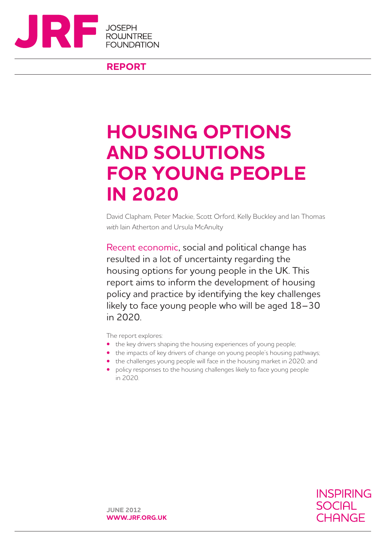

**REPORT**

# **HOUSING OPTIONS AND SOLUTIONS FOR YOUNG PEOPLE IN 2020**

David Clapham, Peter Mackie, Scott Orford, Kelly Buckley and Ian Thomas *with* Iain Atherton and Ursula McAnulty

Recent economic, social and political change has resulted in a lot of uncertainty regarding the housing options for young people in the UK. This report aims to inform the development of housing policy and practice by identifying the key challenges likely to face young people who will be aged 18–30 in 2020.

The report explores:

- the key drivers shaping the housing experiences of young people;
- the impacts of key drivers of change on young people's housing pathways;
- the challenges young people will face in the housing market in 2020; and
- **•**  policy responses to the housing challenges likely to face young people in 2020.



**JUNE 2012 WWW.JRF.ORG.UK**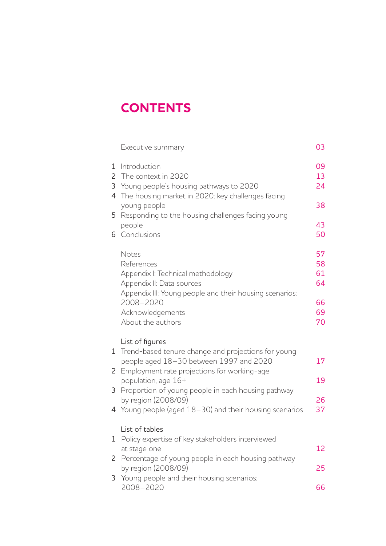## **CONTENTS**

|   | Executive summary                                       | 03 |
|---|---------------------------------------------------------|----|
| 1 | Introduction                                            | 09 |
| 2 | The context in 2020                                     | 13 |
| 3 | Young people's housing pathways to 2020                 | 24 |
| 4 | The housing market in 2020: key challenges facing       |    |
|   | young people                                            | 38 |
| 5 |                                                         |    |
|   | Responding to the housing challenges facing young       |    |
|   | people                                                  | 43 |
| 6 | Conclusions                                             | 50 |
|   | Notes                                                   | 57 |
|   | References                                              | 58 |
|   | Appendix I: Technical methodology                       | 61 |
|   | Appendix II: Data sources                               | 64 |
|   |                                                         |    |
|   | Appendix III: Young people and their housing scenarios: |    |
|   | 2008-2020                                               | 66 |
|   | Acknowledgements                                        | 69 |
|   | About the authors                                       | 70 |
|   | List of figures                                         |    |
|   | 1 Trend-based tenure change and projections for young   |    |
|   | people aged 18-30 between 1997 and 2020                 | 17 |
| 2 | Employment rate projections for working-age             |    |
|   |                                                         | 19 |
|   | population, age 16+                                     |    |
| 3 | Proportion of young people in each housing pathway      |    |
|   | by region (2008/09)                                     | 26 |
|   | 4 Young people (aged 18-30) and their housing scenarios | 37 |
|   | List of tables                                          |    |
| 1 | Policy expertise of key stakeholders interviewed        |    |
|   |                                                         | 12 |
|   | at stage one                                            |    |
| 2 | Percentage of young people in each housing pathway      |    |
|   | by region (2008/09)                                     | 25 |
| 3 | Young people and their housing scenarios:               |    |
|   | 2008-2020                                               | 66 |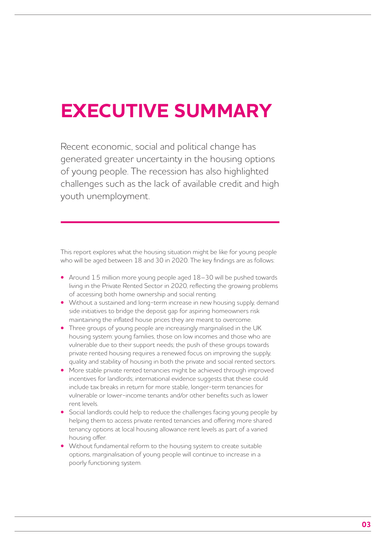# **EXECUTIVE SUMMARY**

Recent economic, social and political change has generated greater uncertainty in the housing options of young people. The recession has also highlighted challenges such as the lack of available credit and high youth unemployment.

This report explores what the housing situation might be like for young people who will be aged between 18 and 30 in 2020. The key findings are as follows:

- **•**  Around 1.5 million more young people aged 18–30 will be pushed towards living in the Private Rented Sector in 2020, reflecting the growing problems of accessing both home ownership and social renting.
- Without a sustained and long-term increase in new housing supply, demand side initiatives to bridge the deposit gap for aspiring homeowners risk maintaining the inflated house prices they are meant to overcome.
- Three groups of young people are increasingly marginalised in the UK housing system: young families, those on low incomes and those who are vulnerable due to their support needs; the push of these groups towards private rented housing requires a renewed focus on improving the supply, quality and stability of housing in both the private and social rented sectors.
- More stable private rented tenancies might be achieved through improved incentives for landlords; international evidence suggests that these could include tax breaks in return for more stable, longer-term tenancies for vulnerable or lower-income tenants and/or other benefits such as lower rent levels.
- **•** Social landlords could help to reduce the challenges facing young people by helping them to access private rented tenancies and offering more shared tenancy options at local housing allowance rent levels as part of a varied housing offer.
- **•**  Without fundamental reform to the housing system to create suitable options, marginalisation of young people will continue to increase in a poorly functioning system.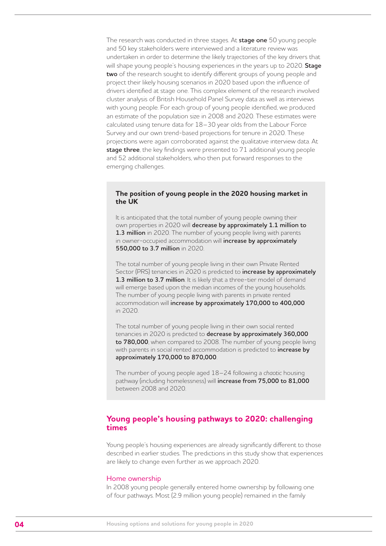The research was conducted in three stages. At **stage one** 50 young people and 50 key stakeholders were interviewed and a literature review was undertaken in order to determine the likely trajectories of the key drivers that will shape young people's housing experiences in the years up to 2020. **Stage two** of the research sought to identify different groups of young people and project their likely housing scenarios in 2020 based upon the influence of drivers identified at stage one. This complex element of the research involved cluster analysis of British Household Panel Survey data as well as interviews with young people. For each group of young people identified, we produced an estimate of the population size in 2008 and 2020. These estimates were calculated using tenure data for 18–30 year olds from the Labour Force Survey and our own trend-based projections for tenure in 2020. These projections were again corroborated against the qualitative interview data. At **stage three**, the key findings were presented to 71 additional young people and 52 additional stakeholders, who then put forward responses to the emerging challenges.

#### **The position of young people in the 2020 housing market in the UK**

It is anticipated that the total number of young people owning their own properties in 2020 will **decrease by approximately 1.1 million to 1.3 million** in 2020. The number of young people living with parents in owner-occupied accommodation will **increase by approximately 550,000 to 3.7 million** in 2020.

The total number of young people living in their own Private Rented Sector (PRS) tenancies in 2020 is predicted to **increase by approximately 1.3 million to 3.7 million**. It is likely that a three-tier model of demand will emerge based upon the median incomes of the young households. The number of young people living with parents in private rented accommodation will **increase by approximately 170,000 to 400,000**  in 2020.

The total number of young people living in their own social rented tenancies in 2020 is predicted to **decrease by approximately 360,000 to 780,000**, when compared to 2008. The number of young people living with parents in social rented accommodation is predicted to **increase by approximately 170,000 to 870,000**.

The number of young people aged 18–24 following a *chaotic* housing pathway (including homelessness) will **increase from 75,000 to 81,000** between 2008 and 2020.

## **Young people's housing pathways to 2020: challenging times**

Young people's housing experiences are already significantly different to those described in earlier studies. The predictions in this study show that experiences are likely to change even further as we approach 2020.

#### Home ownership

In 2008 young people generally entered home ownership by following one of four pathways. Most (2.9 million young people) remained in the family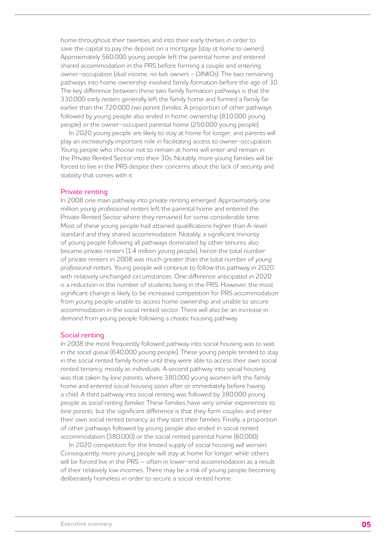home throughout their twenties and into their early thirties in order to save the capital to pay the deposit on a mortgage (*stay at home to owners*). Approximately 560,000 young people left the parental home and entered shared accommodation in the PRS before forming a couple and entering owner-occupation (*dual income, no kids owners – DINKOs*). The two remaining pathways into home ownership involved family formation before the age of 30. The key difference between these two family formation pathways is that the 330,000 *early nesters* generally left the family home and formed a family far earlier than the 720,000 *two parent families*. A proportion of other pathways followed by young people also ended in home ownership (810,000 young people) or the owner-occupied parental home (250,000 young people).

In 2020 young people are likely to stay at home for longer, and parents will play an increasingly important role in facilitating access to owner-occupation. Young people who choose not to remain at home will enter and remain in the Private Rented Sector into their 30s. Notably, more young families will be forced to live in the PRS despite their concerns about the lack of security and stability that comes with it.

#### Private renting

In 2008 one main pathway into private renting emerged. Approximately one million *young professional renters* left the parental home and entered the Private Rented Sector where they remained for some considerable time. Most of these young people had attained qualifications higher than A-level standard and they shared accommodation. Notably, a significant minority of young people following all pathways dominated by other tenures also became private renters (1.4 million young people), hence the total number of private renters in 2008 was much greater than the total number of *young professional renters*. Young people will continue to follow this pathway in 2020 with relatively unchanged circumstances. One difference anticipated in 2020 is a reduction in the number of students living in the PRS. However, the most significant change is likely to be increased competition for PRS accommodation from young people unable to access home ownership and unable to secure accommodation in the social rented sector. There will also be an increase in demand from young people following a *chaotic* housing pathway.

#### Social renting

In 2008 the most frequently followed pathway into social housing was to wait *in the social queue* (640,000 young people). These young people tended to stay in the social rented family home until they were able to access their own social rented tenancy, mostly as individuals. A second pathway into social housing was that taken by *lone parents*, where 380,000 young women left the family home and entered social housing soon after or immediately before having a child. A third pathway into social renting was followed by 380,000 young people as *social renting families*. These families have very similar experiences to *lone parents*, but the significant difference is that they form couples and enter their own social rented tenancy as they start their families. Finally, a proportion of other pathways followed by young people also ended in social rented accommodation (380,000) or the social rented parental home (60,000).

In 2020 competition for the limited supply of social housing will worsen. Consequently, more young people will stay at home for longer, while others will be forced live in the PRS – often in lower-end accommodation as a result of their relatively low incomes. There may be a risk of young people becoming deliberately homeless in order to secure a social rented home.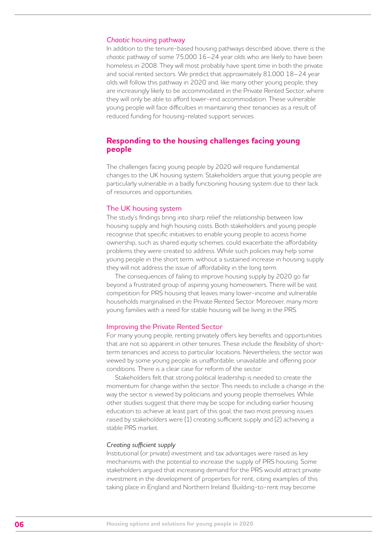#### *Chaotic* housing pathway

In addition to the tenure-based housing pathways described above, there is the *chaotic* pathway of some 75,000 16–24 year olds who are likely to have been homeless in 2008. They will most probably have spent time in both the private and social rented sectors. We predict that approximately 81,000 18–24 year olds will follow this pathway in 2020 and, like many other young people, they are increasingly likely to be accommodated in the Private Rented Sector, where they will only be able to afford lower-end accommodation. These vulnerable young people will face difficulties in maintaining their tenancies as a result of reduced funding for housing-related support services.

## **Responding to the housing challenges facing young people**

The challenges facing young people by 2020 will require fundamental changes to the UK housing system. Stakeholders argue that young people are particularly vulnerable in a badly functioning housing system due to their lack of resources and opportunities.

#### The UK housing system

The study's findings bring into sharp relief the relationship between low housing supply and high housing costs. Both stakeholders and young people recognise that specific initiatives to enable young people to access home ownership, such as shared equity schemes, could exacerbate the affordability problems they were created to address. While such policies may help some young people in the short term, without a sustained increase in housing supply they will not address the issue of affordability in the long term.

The consequences of failing to improve housing supply by 2020 go far beyond a frustrated group of aspiring young homeowners. There will be vast competition for PRS housing that leaves many lower-income and vulnerable households marginalised in the Private Rented Sector. Moreover, many more young families with a need for stable housing will be living in the PRS.

#### Improving the Private Rented Sector

For many young people, renting privately offers key benefits and opportunities that are not so apparent in other tenures. These include the flexibility of shortterm tenancies and access to particular locations. Nevertheless, the sector was viewed by some young people as unaffordable, unavailable and offering poor conditions. There is a clear case for reform of the sector.

Stakeholders felt that strong political leadership is needed to create the momentum for change within the sector. This needs to include a change in the way the sector is viewed by politicians and young people themselves. While other studies suggest that there may be scope for including earlier housing education to achieve at least part of this goal, the two most pressing issues raised by stakeholders were (1) creating sufficient supply and (2) achieving a stable PRS market.

#### *Creating sufficient supply*

Institutional (or private) investment and tax advantages were raised as key mechanisms with the potential to increase the supply of PRS housing. Some stakeholders argued that increasing demand for the PRS would attract private investment in the development of properties for rent, citing examples of this taking place in England and Northern Ireland. Building-to-rent may become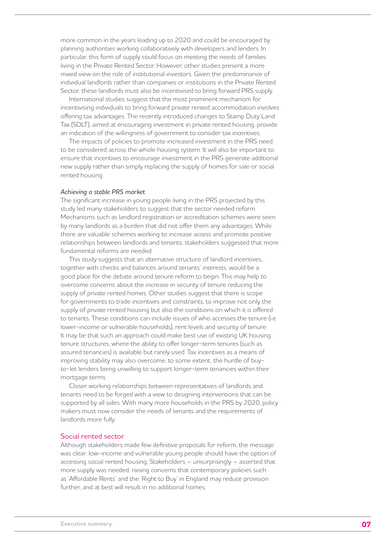more common in the years leading up to 2020 and could be encouraged by planning authorities working collaboratively with developers and lenders. In particular, this form of supply could focus on meeting the needs of families living in the Private Rented Sector. However, other studies present a more mixed view on the role of institutional investors. Given the predominance of individual landlords rather than companies or institutions in the Private Rented Sector, these landlords must also be incentivised to bring forward PRS supply.

International studies suggest that the most prominent mechanism for incentivising individuals to bring forward private rented accommodation involves offering tax advantages. The recently introduced changes to Stamp Duty Land Tax (SDLT), aimed at encouraging investment in private rented housing, provide an indication of the willingness of government to consider tax incentives.

The impacts of policies to promote increased investment in the PRS need to be considered across the whole housing system. It will also be important to ensure that incentives to encourage investment in the PRS generate additional new supply rather than simply replacing the supply of homes for sale or social rented housing.

#### *Achieving a stable PRS market*

The significant increase in young people living in the PRS projected by this study led many stakeholders to suggest that the sector needed reform. Mechanisms such as landlord registration or accreditation schemes were seen by many landlords as a burden that did not offer them any advantages. While there are valuable schemes working to increase access and promote positive relationships between landlords and tenants, stakeholders suggested that more fundamental reforms are needed.

This study suggests that an alternative structure of landlord incentives, together with checks and balances around tenants' interests, would be a good place for the debate around tenure reform to begin. This may help to overcome concerns about the increase in security of tenure reducing the supply of private rented homes. Other studies suggest that there is scope for governments to trade incentives and constraints, to improve not only the supply of private rented housing but also the conditions on which it is offered to tenants. These conditions can include issues of who accesses the tenure (i.e. lower-income or vulnerable households), rent levels and security of tenure. It may be that such an approach could make best use of existing UK housing tenure structures, where the ability to offer longer-term tenures (such as assured tenancies) is available but rarely used. Tax incentives as a means of improving stability may also overcome, to some extent, the hurdle of buyto-let lenders being unwilling to support longer-term tenancies within their mortgage terms.

Closer working relationships between representatives of landlords and tenants need to be forged with a view to designing interventions that can be supported by all sides. With many more households in the PRS by 2020, policy makers must now consider the needs of tenants and the requirements of landlords more fully.

#### Social rented sector

Although stakeholders made few definitive proposals for reform, the message was clear: low-income and vulnerable young people should have the option of accessing social rented housing. Stakeholders – unsurprisingly – asserted that more supply was needed, raising concerns that contemporary policies such as 'Affordable Rents' and the 'Right to Buy' in England may reduce provision further, and at best will result in no additional homes.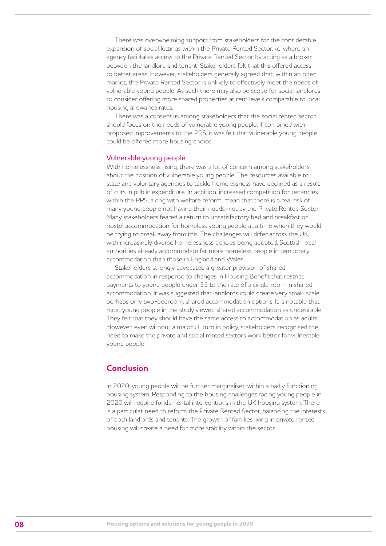There was overwhelming support from stakeholders for the considerable expansion of social lettings within the Private Rented Sector, i.e. where an agency facilitates access to the Private Rented Sector by acting as a broker between the landlord and tenant. Stakeholders felt that this offered access to better areas. However, stakeholders generally agreed that, within an open market, the Private Rented Sector is unlikely to effectively meet the needs of vulnerable young people. As such there may also be scope for social landlords to consider offering more shared properties at rent levels comparable to local housing allowance rates.

There was a consensus among stakeholders that the social rented sector should focus on the needs of vulnerable young people. If combined with proposed improvements to the PRS, it was felt that vulnerable young people could be offered more housing choice.

#### Vulnerable young people

With homelessness rising, there was a lot of concern among stakeholders about the position of vulnerable young people. The resources available to state and voluntary agencies to tackle homelessness have declined as a result of cuts in public expenditure. In addition, increased competition for tenancies within the PRS, along with welfare reform, mean that there is a real risk of many young people not having their needs met by the Private Rented Sector. Many stakeholders feared a return to unsatisfactory bed and breakfast or hostel accommodation for homeless young people at a time when they would be trying to break away from this. The challenges will differ across the UK, with increasingly diverse homelessness policies being adopted. Scottish local authorities already accommodate far more homeless people in temporary accommodation than those in England and Wales.

Stakeholders strongly advocated a greater provision of shared accommodation in response to changes in Housing Benefit that restrict payments to young people under 35 to the rate of a single room in shared accommodation. It was suggested that landlords could create very small-scale, perhaps only two-bedroom, shared accommodation options. It is notable that most young people in the study viewed shared accommodation as undesirable. They felt that they should have the same access to accommodation as adults. However, even without a major U-turn in policy, stakeholders recognised the need to make the private and social rented sectors work better for vulnerable young people.

## **Conclusion**

In 2020, young people will be further marginalised within a badly functioning housing system. Responding to the housing challenges facing young people in 2020 will require fundamental interventions in the UK housing system. There is a particular need to reform the Private Rented Sector, balancing the interests of both landlords and tenants. The growth of families living in private rented housing will create a need for more stability within the sector.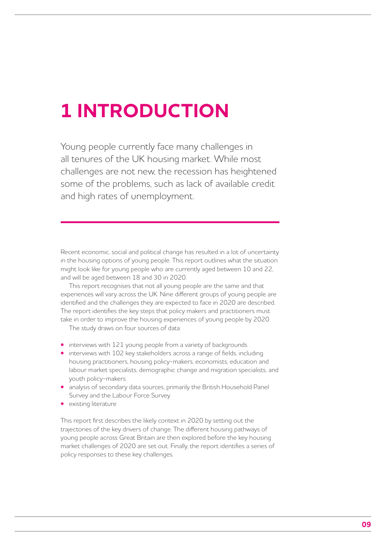## **1 INTRODUCTION**

Young people currently face many challenges in all tenures of the UK housing market. While most challenges are not new, the recession has heightened some of the problems, such as lack of available credit and high rates of unemployment.

Recent economic, social and political change has resulted in a lot of uncertainty in the housing options of young people. This report outlines what the situation might look like for young people who are currently aged between 10 and 22, and will be aged between 18 and 30 in 2020.

This report recognises that not all young people are the same and that experiences will vary across the UK. Nine different groups of young people are identified and the challenges they are expected to face in 2020 are described. The report identifies the key steps that policy makers and practitioners must take in order to improve the housing experiences of young people by 2020.

The study draws on four sources of data:

- interviews with 121 young people from a variety of backgrounds
- interviews with 102 key stakeholders across a range of fields, including housing practitioners, housing policy-makers, economists, education and labour market specialists, demographic change and migration specialists, and youth policy-makers
- analysis of secondary data sources, primarily the British Household Panel Survey and the Labour Force Survey
- **•**  existing literature

This report first describes the likely context in 2020 by setting out the trajectories of the key drivers of change. The different housing pathways of young people across Great Britain are then explored before the key housing market challenges of 2020 are set out. Finally, the report identifies a series of policy responses to these key challenges.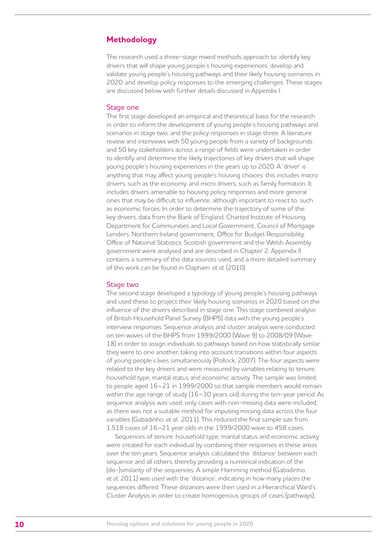## **Methodology**

The research used a three-stage mixed methods approach to: identify key drivers that will shape young people's housing experiences; develop and validate young people's housing pathways and their likely housing scenarios in 2020; and develop policy responses to the emerging challenges. These stages are discussed below with further details discussed in Appendix I.

#### Stage one

The first stage developed an empirical and theoretical basis for the research in order to inform the development of young people's housing pathways and scenarios in stage two, and the policy responses in stage three. A literature review and interviews with 50 young people from a variety of backgrounds and 50 key stakeholders across a range of fields were undertaken in order to identify and determine the likely trajectories of key drivers that will shape young people's housing experiences in the years up to 2020. A 'driver' is anything that may affect young people's housing choices: this includes *macro* drivers, such as the economy, and *micro* drivers, such as family formation. It includes drivers amenable to housing policy responses and more general ones that may be difficult to influence, although important to react to, such as economic forces. In order to determine the trajectory of some of the key drivers, data from the Bank of England, Charted Institute of Housing, Department for Communities and Local Government, Council of Mortgage Lenders, Northern Ireland government, Office for Budget Responsibility, Office of National Statistics, Scottish government and the Welsh Assembly government were analysed and are described in Chapter 2. Appendix II contains a summary of the data sources used, and a more detailed summary of this work can be found in Clapham, *et al*. (2010).

#### Stage two

The second stage developed a typology of young people's housing pathways and used these to project their likely housing scenarios in 2020 based on the influence of the drivers described in stage one. This stage combined analysis of British Household Panel Survey (BHPS) data with the young people's interview responses. Sequence analysis and cluster analysis were conducted on ten waves of the BHPS from 1999/2000 (Wave 9) to 2008/09 (Wave 18) in order to assign individuals to pathways based on how statistically similar they were to one another, taking into account transitions within four aspects of young people's lives simultaneously (Pollock, 2007). The four aspects were related to the key drivers and were measured by variables relating to tenure, household type, marital status and economic activity. The sample was limited to people aged 16–21 in 1999/2000 so that sample members would remain within the age range of study (16–30 years old) during the ten-year period. As sequence analysis was used, only cases with non-missing data were included, as there was not a suitable method for imputing missing data across the four variables (Gabadinho, *et al*., 2011). This reduced the final sample size from 1,518 cases of 16–21 year olds in the 1999/2000 wave to 458 cases.

Sequences of tenure, household type, marital status and economic activity were created for each individual by combining their responses in these areas over the ten years. Sequence analysis calculated the 'distance' between each sequence and all others, thereby providing a numerical indication of the (dis-)similarity of the sequences. A simple Hamming method (Gabadinho, *et al*, 2011) was used with the 'distance', indicating in how many places the sequences differed. These distances were then used in a Hierarchical Ward's Cluster Analysis in order to create homogenous groups of cases (pathways),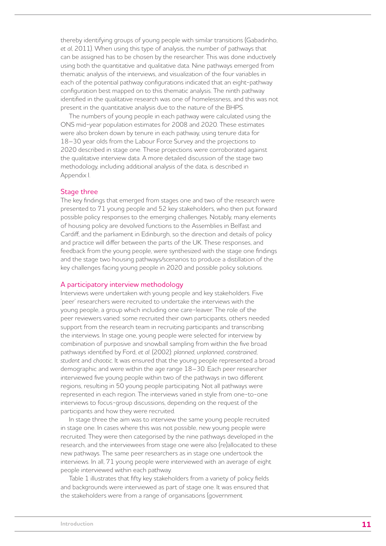thereby identifying groups of young people with similar transitions (Gabadinho, *et al*, 2011). When using this type of analysis, the number of pathways that can be assigned has to be chosen by the researcher. This was done inductively using both the quantitative and qualitative data. Nine pathways emerged from thematic analysis of the interviews, and visualization of the four variables in each of the potential pathway configurations indicated that an eight-pathway configuration best mapped on to this thematic analysis. The ninth pathway identified in the qualitative research was one of homelessness, and this was not present in the quantitative analysis due to the nature of the BHPS.

The numbers of young people in each pathway were calculated using the ONS mid-year population estimates for 2008 and 2020. These estimates were also broken down by tenure in each pathway, using tenure data for 18–30 year olds from the Labour Force Survey and the projections to 2020 described in stage one. These projections were corroborated against the qualitative interview data. A more detailed discussion of the stage two methodology, including additional analysis of the data, is described in Appendix I.

#### Stage three

The key findings that emerged from stages one and two of the research were presented to 71 young people and 52 key stakeholders, who then put forward possible policy responses to the emerging challenges. Notably, many elements of housing policy are devolved functions to the Assemblies in Belfast and Cardiff, and the parliament in Edinburgh, so the direction and details of policy and practice will differ between the parts of the UK. These responses, and feedback from the young people, were synthesized with the stage one findings and the stage two housing pathways/scenarios to produce a distillation of the key challenges facing young people in 2020 and possible policy solutions.

#### A participatory interview methodology

Interviews were undertaken with young people and key stakeholders. Five 'peer' researchers were recruited to undertake the interviews with the young people, a group which including one care-leaver. The role of the peer reviewers varied: some recruited their own participants, others needed support from the research team in recruiting participants and transcribing the interviews. In stage one, young people were selected for interview by combination of purposive and snowball sampling from within the five broad pathways identified by Ford, *et al*. (2002): *planned*, *unplanned*, *constrained*, *student* and *chaotic*. It was ensured that the young people represented a broad demographic and were within the age range 18–30. Each peer researcher interviewed five young people within two of the pathways in two different regions, resulting in 50 young people participating. Not all pathways were represented in each region. The interviews varied in style from one-to-one interviews to focus-group discussions, depending on the request of the participants and how they were recruited.

In stage three the aim was to interview the same young people recruited in stage one. In cases where this was not possible, new young people were recruited. They were then categorised by the nine pathways developed in the research, and the interviewees from stage one were also (re)allocated to these new pathways. The same peer researchers as in stage one undertook the interviews. In all, 71 young people were interviewed with an average of eight people interviewed within each pathway.

Table 1 illustrates that fifty key stakeholders from a variety of policy fields and backgrounds were interviewed as part of stage one. It was ensured that the stakeholders were from a range of organisations (government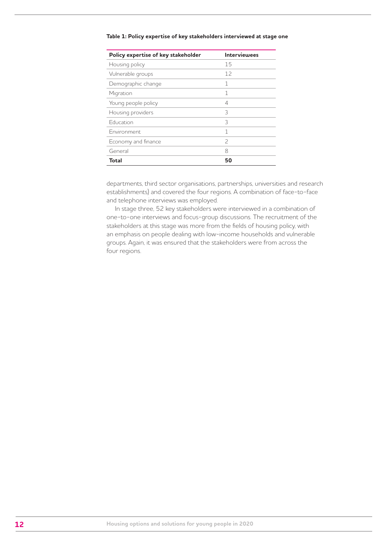| Policy expertise of key stakeholder | <b>Interviewees</b> |  |  |
|-------------------------------------|---------------------|--|--|
| Housing policy                      | 15                  |  |  |
| Vulnerable groups                   | 12                  |  |  |
| Demographic change                  | 1                   |  |  |
| Migration                           | 1                   |  |  |
| Young people policy                 | 4                   |  |  |
| Housing providers                   | 3                   |  |  |
| Education                           | 3                   |  |  |
| Fnvironment                         | 1                   |  |  |
| Economy and finance                 | $\mathcal{P}$       |  |  |
| General                             | 8                   |  |  |
| Total                               | 50                  |  |  |

#### **Table 1: Policy expertise of key stakeholders interviewed at stage one**

departments, third sector organisations, partnerships, universities and research establishments) and covered the four regions. A combination of face-to-face and telephone interviews was employed.

In stage three, 52 key stakeholders were interviewed in a combination of one-to-one interviews and focus-group discussions. The recruitment of the stakeholders at this stage was more from the fields of housing policy, with an emphasis on people dealing with low-income households and vulnerable groups. Again, it was ensured that the stakeholders were from across the four regions.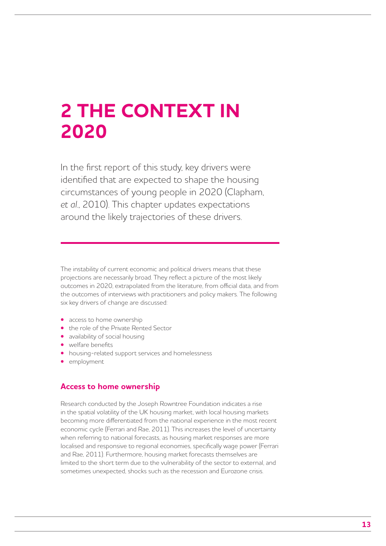## **2 THE CONTEXT IN 2020**

In the first report of this study, key drivers were identified that are expected to shape the housing circumstances of young people in 2020 (Clapham, *et al*., 2010). This chapter updates expectations around the likely trajectories of these drivers.

The instability of current economic and political drivers means that these projections are necessarily broad. They reflect a picture of the most likely outcomes in 2020, extrapolated from the literature, from official data, and from the outcomes of interviews with practitioners and policy makers. The following six key drivers of change are discussed:

- access to home ownership
- **•**  the role of the Private Rented Sector
- **•**  availability of social housing
- **•**  welfare benefits
- **•**  housing-related support services and homelessness
- **•**  employment

## **Access to home ownership**

Research conducted by the Joseph Rowntree Foundation indicates a rise in the spatial volatility of the UK housing market, with local housing markets becoming more differentiated from the national experience in the most recent economic cycle (Ferrari and Rae, 2011). This increases the level of uncertainty when referring to national forecasts, as housing market responses are more localised and responsive to regional economies, specifically wage power (Ferrari and Rae, 2011). Furthermore, housing market forecasts themselves are limited to the short term due to the vulnerability of the sector to external, and sometimes unexpected, shocks such as the recession and Eurozone crisis.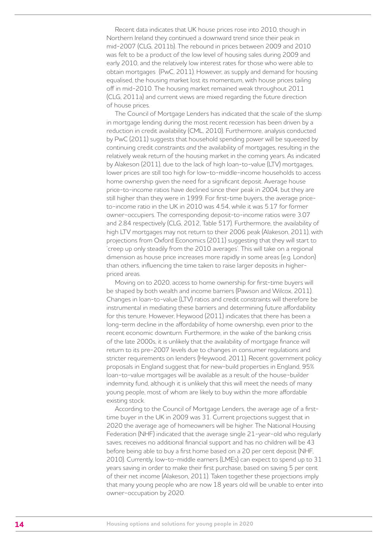Recent data indicates that UK house prices rose into 2010, though in Northern Ireland they continued a downward trend since their peak in mid-2007 (CLG, 2011b). The rebound in prices between 2009 and 2010 was felt to be a product of the low level of housing sales during 2009 and early 2010, and the relatively low interest rates for those who were able to obtain mortgages (PwC, 2011). However, as supply and demand for housing equalised, the housing market lost its momentum, with house prices tailing off in mid-2010. The housing market remained weak throughout 2011 (CLG, 2011a) and current views are mixed regarding the future direction of house prices.

The Council of Mortgage Lenders has indicated that the scale of the slump in mortgage lending during the most recent recession has been driven by a reduction in credit availability (CML, 2010). Furthermore, analysis conducted by PwC (2011) suggests that household spending power will be squeezed by continuing credit constraints *and* the availability of mortgages, resulting in the relatively weak return of the housing market in the coming years. As indicated by Alakeson (2011), due to the lack of high loan-to-value (LTV) mortgages, lower prices are still too high for low-to-middle-income households to access home ownership given the need for a significant deposit. Average house price-to-income ratios have declined since their peak in 2004, but they are still higher than they were in 1999. For first-time buyers, the average priceto-income ratio in the UK in 2010 was 4.54, while it was 5.17 for former owner-occupiers. The corresponding deposit-to-income ratios were 3.07 and 2.84 respectively (CLG, 2012, Table 517). Furthermore, the availability of high LTV mortgages may not return to their 2006 peak (Alakeson, 2011), with projections from Oxford Economics (2011) suggesting that they will start to 'creep up only steadily from the 2010 averages'. This will take on a regional dimension as house price increases more rapidly in some areas (e.g. London) than others, influencing the time taken to raise larger deposits in higherpriced areas.

Moving on to 2020, access to home ownership for first-time buyers will be shaped by both wealth and income barriers (Pawson and Wilcox, 2011). Changes in loan-to-value (LTV) ratios and credit constraints will therefore be instrumental in mediating these barriers and determining future affordability for this tenure. However, Heywood (2011) indicates that there has been a long-term decline in the affordability of home ownership, even prior to the recent economic downturn. Furthermore, in the wake of the banking crisis of the late 2000s, it is unlikely that the availability of mortgage finance will return to its pre-2007 levels due to changes in consumer regulations and stricter requirements on lenders (Heywood, 2011). Recent government policy proposals in England suggest that for new-build properties in England, 95% loan-to-value mortgages will be available as a result of the house-builder indemnity fund, although it is unlikely that this will meet the needs of many young people, most of whom are likely to buy within the more affordable existing stock.

According to the Council of Mortgage Lenders, the average age of a firsttime buyer in the UK in 2009 was 31. Current projections suggest that in 2020 the average age of homeowners will be higher. The National Housing Federation (NHF) indicated that the average single 21-year-old who regularly saves, receives no additional financial support and has no children will be 43 before being able to buy a first home based on a 20 per cent deposit (NHF, 2010). Currently, low-to-middle earners (LMEs) can expect to spend up to 31 years saving in order to make their first purchase, based on saving 5 per cent of their net income (Alakeson, 2011). Taken together these projections imply that many young people who are now 18 years old will be unable to enter into owner-occupation by 2020.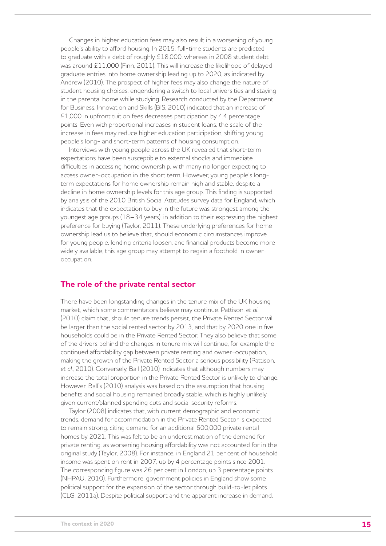Changes in higher education fees may also result in a worsening of young people's ability to afford housing. In 2015, full-time students are predicted to graduate with a debt of roughly £18,000, whereas in 2008 student debt was around £11,000 (Finn, 2011). This will increase the likelihood of delayed graduate entries into home ownership leading up to 2020, as indicated by Andrew (2010). The prospect of higher fees may also change the nature of student housing choices, engendering a switch to local universities and staying in the parental home while studying. Research conducted by the Department for Business, Innovation and Skills (BIS, 2010) indicated that an increase of £1,000 in upfront tuition fees decreases participation by 4.4 percentage points. Even with proportional increases in student loans, the scale of the increase in fees may reduce higher education participation, shifting young people's long- and short-term patterns of housing consumption.

Interviews with young people across the UK revealed that short-term expectations have been susceptible to external shocks and immediate difficulties in accessing home ownership, with many no longer expecting to access owner-occupation in the short term. However, young people's longterm expectations for home ownership remain high and stable, despite a decline in home ownership levels for this age group. This finding is supported by analysis of the 2010 British Social Attitudes survey data for England, which indicates that the expectation to buy in the future was strongest among the youngest age groups (18–34 years), in addition to their expressing the highest preference for buying (Taylor, 2011). These underlying preferences for home ownership lead us to believe that, should economic circumstances improve for young people, lending criteria loosen, and financial products become more widely available, this age group may attempt to regain a foothold in owneroccupation.

### **The role of the private rental sector**

There have been longstanding changes in the tenure mix of the UK housing market, which some commentators believe may continue. Pattison, *et al*. (2010) claim that, should tenure trends persist, the Private Rented Sector will be larger than the social rented sector by 2013, and that by 2020 one in five households could be in the Private Rented Sector. They also believe that some of the drivers behind the changes in tenure mix will continue, for example the continued affordability gap between private renting and owner-occupation, making the growth of the Private Rented Sector a serious possibility (Pattison, *et al*., 2010). Conversely, Ball (2010) indicates that although numbers may increase the total proportion in the Private Rented Sector is unlikely to change. However, Ball's (2010) analysis was based on the assumption that housing benefits and social housing remained broadly stable, which is highly unlikely given current/planned spending cuts and social security reforms.

Taylor (2008) indicates that, with current demographic and economic trends, demand for accommodation in the Private Rented Sector is expected to remain strong, citing demand for an additional 600,000 private rental homes by 2021. This was felt to be an underestimation of the demand for private renting, as worsening housing affordability was not accounted for in the original study (Taylor, 2008). For instance, in England 21 per cent of household income was spent on rent in 2007, up by 4 percentage points since 2001. The corresponding figure was 26 per cent in London, up 3 percentage points (NHPAU, 2010). Furthermore, government policies in England show some political support for the expansion of the sector through build-to-let pilots (CLG, 2011a). Despite political support and the apparent increase in demand,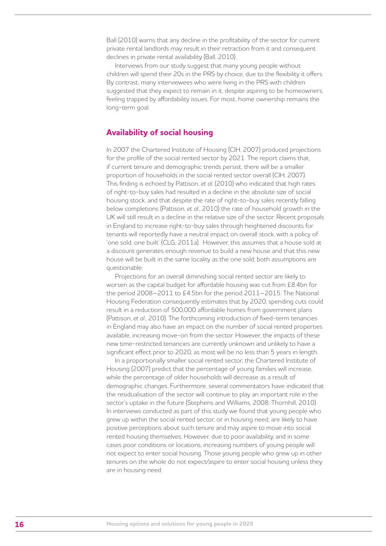Ball (2010) warns that any decline in the profitability of the sector for current private rental landlords may result in their retraction from it and consequent declines in private rental availability (Ball, 2010).

Interviews from our study suggest that many young people without children will spend their 20s in the PRS by choice, due to the flexibility it offers. By contrast, many interviewees who were living in the PRS with children suggested that they expect to remain in it, despite aspiring to be homeowners. feeling trapped by affordability issues. For most, home ownership remains the long-term goal.

## **Availability of social housing**

In 2007 the Chartered Institute of Housing (CIH, 2007) produced projections for the profile of the social rented sector by 2021. The report claims that, if current tenure and demographic trends persist, there will be a smaller proportion of households in the social rented sector overall (CIH, 2007). This finding is echoed by Pattison, *et al*. (2010) who indicated that high rates of right-to-buy sales had resulted in a decline in the absolute size of social housing stock, and that despite the rate of right-to-buy sales recently falling below completions (Pattison, *et al*., 2010) the rate of household growth in the UK will still result in a decline in the relative size of the sector. Recent proposals in England to increase right-to-buy sales through heightened discounts for tenants will reportedly have a neutral impact on overall stock, with a policy of 'one sold, one built' (CLG, 2011a). However, this assumes that a house sold at a discount generates enough revenue to build a new house and that this new house will be built in the same locality as the one sold; both assumptions are questionable.

Projections for an overall diminishing social rented sector are likely to worsen as the capital budget for affordable housing was cut from £8.4bn for the period 2008–2011 to £4.5bn for the period 2011–2015. The National Housing Federation consequently estimates that by 2020, spending cuts could result in a reduction of 500,000 affordable homes from government plans (Pattison, *et al*., 2010). The forthcoming introduction of fixed-term tenancies in England may also have an impact on the number of social rented properties available, increasing move-on from the sector. However, the impacts of these new time-restricted tenancies are currently unknown and unlikely to have a significant effect prior to 2020, as most will be no less than 5 years in length.

In a proportionally smaller social rented sector, the Chartered Institute of Housing (2007) predict that the percentage of young families will increase, while the percentage of older households will decrease as a result of demographic changes. Furthermore, several commentators have indicated that the residualisation of the sector will continue to play an important role in the sector's uptake in the future (Stephens and Williams, 2008; Thornhill, 2010). In interviews conducted as part of this study we found that young people who grew up within the social rented sector, or in housing need, are likely to have positive perceptions about such tenure and may aspire to move into social rented housing themselves. However, due to poor availability, and in some cases poor conditions or locations, increasing numbers of young people will not expect to enter social housing. Those young people who grew up in other tenures on the whole do not expect/aspire to enter social housing unless they are in housing need.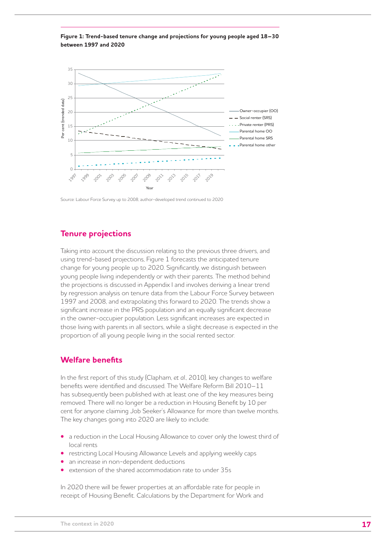



Source: Labour Force Survey up to 2008; author-developed trend continued to 2020

## **Tenure projections**

Taking into account the discussion relating to the previous three drivers, and using trend-based projections, Figure 1 forecasts the anticipated tenure change for young people up to 2020. Significantly, we distinguish between young people living independently or with their parents. The method behind the projections is discussed in Appendix I and involves deriving a linear trend by regression analysis on tenure data from the Labour Force Survey between 1997 and 2008, and extrapolating this forward to 2020. The trends show a significant increase in the PRS population and an equally significant decrease in the owner-occupier population. Less significant increases are expected in those living with parents in all sectors, while a slight decrease is expected in the proportion of all young people living in the social rented sector.

## **Welfare benefits**

In the first report of this study (Clapham, *et al*., 2010), key changes to welfare benefits were identified and discussed. The Welfare Reform Bill 2010–11 has subsequently been published with at least one of the key measures being removed. There will no longer be a reduction in Housing Benefit by 10 per cent for anyone claiming Job Seeker's Allowance for more than twelve months. The key changes going into 2020 are likely to include:

- a reduction in the Local Housing Allowance to cover only the lowest third of local rents
- restricting Local Housing Allowance Levels and applying weekly caps
- an increase in non-dependent deductions
- extension of the shared accommodation rate to under 35s

In 2020 there will be fewer properties at an affordable rate for people in receipt of Housing Benefit. Calculations by the Department for Work and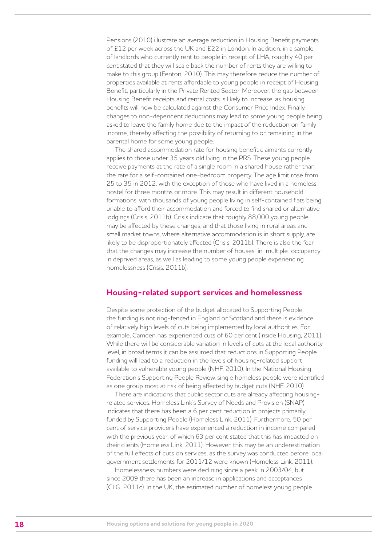Pensions (2010) illustrate an average reduction in Housing Benefit payments of £12 per week across the UK and £22 in London. In addition, in a sample of landlords who currently rent to people in receipt of LHA, roughly 40 per cent stated that they will scale back the number of rents they are willing to make to this group (Fenton, 2010). This may therefore reduce the number of properties available at rents affordable to young people in receipt of Housing Benefit, particularly in the Private Rented Sector. Moreover, the gap between Housing Benefit receipts and rental costs is likely to increase, as housing benefits will now be calculated against the Consumer Price Index. Finally, changes to non-dependent deductions may lead to some young people being asked to leave the family home due to the impact of the reduction on family income, thereby affecting the possibility of returning to or remaining in the parental home for some young people.

The shared accommodation rate for housing benefit claimants currently applies to those under 35 years old living in the PRS. These young people receive payments at the rate of a single room in a shared house rather than the rate for a self-contained one-bedroom property. The age limit rose from 25 to 35 in 2012, with the exception of those who have lived in a homeless hostel for three months or more. This may result in different household formations, with thousands of young people living in self-contained flats being unable to afford their accommodation and forced to find shared or alternative lodgings (Crisis, 2011b). Crisis indicate that roughly 88,000 young people may be affected by these changes, and that those living in rural areas and small market towns, where alternative accommodation is in short supply, are likely to be disproportionately affected (Crisis, 2011b). There is also the fear that the changes may increase the number of houses-in-multiple-occupancy in deprived areas, as well as leading to some young people experiencing homelessness (Crisis, 2011b).

### **Housing-related support services and homelessness**

Despite some protection of the budget allocated to Supporting People, the funding is not ring-fenced in England or Scotland and there is evidence of relatively high levels of cuts being implemented by local authorities. For example, Camden has experienced cuts of 60 per cent (Inside Housing, 2011). While there will be considerable variation in levels of cuts at the local authority level, in broad terms it can be assumed that reductions in Supporting People funding will lead to a reduction in the levels of housing-related support available to vulnerable young people (NHF, 2010). In the National Housing Federation's Supporting People Review, single homeless people were identified as one group most at risk of being affected by budget cuts (NHF, 2010).

There are indications that public sector cuts are already affecting housingrelated services. Homeless Link's Survey of Needs and Provision (SNAP) indicates that there has been a 6 per cent reduction in projects primarily funded by Supporting People (Homeless Link, 2011). Furthermore, 50 per cent of service providers have experienced a reduction in income compared with the previous year, of which 63 per cent stated that this has impacted on their clients (Homeless Link, 2011). However, this may be an underestimation of the full effects of cuts on services, as the survey was conducted before local government settlements for 2011/12 were known (Homeless Link, 2011).

Homelessness numbers were declining since a peak in 2003/04, but since 2009 there has been an increase in applications and acceptances (CLG, 2011c). In the UK, the estimated number of homeless young people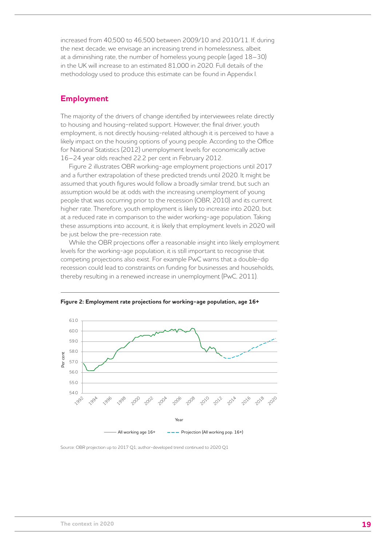increased from 40,500 to 46,500 between 2009/10 and 2010/11. If, during the next decade, we envisage an increasing trend in homelessness, albeit at a diminishing rate, the number of homeless young people (aged 18–30) in the UK will increase to an estimated 81,000 in 2020. Full details of the methodology used to produce this estimate can be found in Appendix I.

## **Employment**

The majority of the drivers of change identified by interviewees relate directly to housing and housing-related support. However, the final driver, youth employment, is not directly housing-related although it is perceived to have a likely impact on the housing options of young people. According to the Office for National Statistics (2012) unemployment levels for economically active 16–24 year olds reached 22.2 per cent in February 2012.

Figure 2 illustrates OBR working-age employment projections until 2017 and a further extrapolation of these predicted trends until 2020. It might be assumed that youth figures would follow a broadly similar trend, but such an assumption would be at odds with the increasing unemployment of young people that was occurring prior to the recession (OBR, 2010) and its current higher rate. Therefore, youth employment is likely to increase into 2020, but at a reduced rate in comparison to the wider working-age population. Taking these assumptions into account, it is likely that employment levels in 2020 will be just below the pre-recession rate.

While the OBR projections offer a reasonable insight into likely employment levels for the working-age population, it is still important to recognise that competing projections also exist. For example PwC warns that a double-dip recession could lead to constraints on funding for businesses and households, thereby resulting in a renewed increase in unemployment (PwC, 2011).



**Figure 2: Employment rate projections for working-age population, age 16+** 

Source: OBR projection up to 2017 Q1; author-developed trend continued to 2020 Q1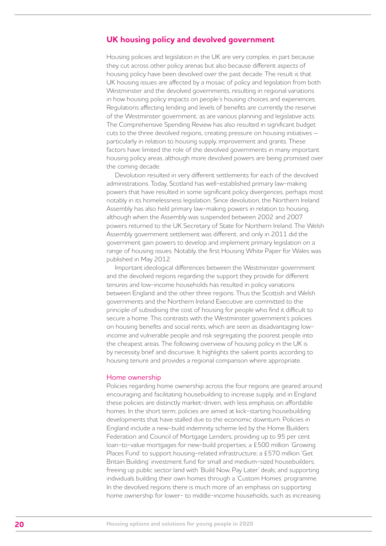## **UK housing policy and devolved government**

Housing policies and legislation in the UK are very complex, in part because they cut across other policy arenas but also because different aspects of housing policy have been devolved over the past decade. The result is that UK housing issues are affected by a mosaic of policy and legislation from both Westminster and the devolved governments, resulting in regional variations in how housing policy impacts on people's housing choices and experiences. Regulations affecting lending and levels of benefits are currently the reserve of the Westminster government, as are various planning and legislative acts. The Comprehensive Spending Review has also resulted in significant budget cuts to the three devolved regions, creating pressure on housing initiatives – particularly in relation to housing supply, improvement and grants. These factors have limited the role of the devolved governments in many important housing policy areas, although more devolved powers are being promised over the coming decade.

Devolution resulted in very different settlements for each of the devolved administrations. Today, Scotland has well-established primary law-making powers that have resulted in some significant policy divergences, perhaps most notably in its homelessness legislation. Since devolution, the Northern Ireland Assembly has also held primary law-making powers in relation to housing, although when the Assembly was suspended between 2002 and 2007 powers returned to the UK Secretary of State for Northern Ireland. The Welsh Assembly government settlement was different, and only in 2011 did the government gain powers to develop and implement primary legislation on a range of housing issues. Notably, the first Housing White Paper for Wales was published in May 2012.

Important ideological differences between the Westminster government and the devolved regions regarding the support they provide for different tenures and low-income households has resulted in policy variations between England and the other three regions. Thus the Scottish and Welsh governments and the Northern Ireland Executive are committed to the principle of subsidising the cost of housing for people who find it difficult to secure a home. This contrasts with the Westminster government's policies on housing benefits and social rents, which are seen as disadvantaging lowincome and vulnerable people and risk segregating the poorest people into the cheapest areas. The following overview of housing policy in the UK is by necessity brief and discursive. It highlights the salient points according to housing tenure and provides a regional comparison where appropriate.

#### Home ownership

Policies regarding home ownership across the four regions are geared around encouraging and facilitating housebuilding to increase supply, and in England these policies are distinctly market-driven, with less emphasis on affordable homes. In the short term, policies are aimed at kick-starting housebuilding developments that have stalled due to the economic downturn. Policies in England include a new-build indemnity scheme led by the Home Builders Federation and Council of Mortgage Lenders, providing up to 95 per cent loan-to-value mortgages for new-build properties; a £500 million 'Growing Places Fund' to support housing-related infrastructure; a £570 million 'Get Britain Building' investment fund for small and medium-sized housebuilders; freeing up public sector land with 'Build Now, Pay Later' deals; and supporting individuals building their own homes through a 'Custom Homes' programme. In the devolved regions there is much more of an emphasis on supporting home ownership for lower- to middle-income households, such as increasing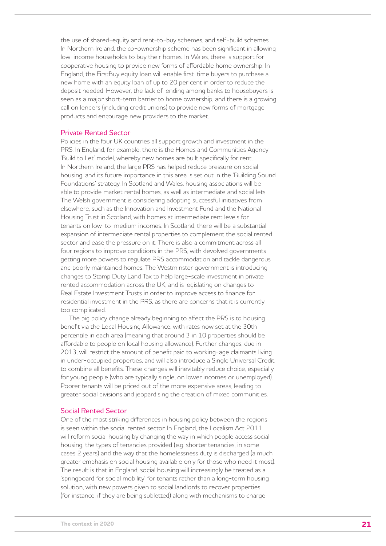the use of shared-equity and rent-to-buy schemes, and self-build schemes. In Northern Ireland, the co-ownership scheme has been significant in allowing low-income households to buy their homes. In Wales, there is support for cooperative housing to provide new forms of affordable home ownership. In England, the FirstBuy equity loan will enable first-time buyers to purchase a new home with an equity loan of up to 20 per cent in order to reduce the deposit needed. However, the lack of lending among banks to housebuyers is seen as a major short-term barrier to home ownership, and there is a growing call on lenders (including credit unions) to provide new forms of mortgage products and encourage new providers to the market.

#### Private Rented Sector

Policies in the four UK countries all support growth and investment in the PRS. In England, for example, there is the Homes and Communities Agency 'Build to Let' model, whereby new homes are built specifically for rent. In Northern Ireland, the large PRS has helped reduce pressure on social housing, and its future importance in this area is set out in the 'Building Sound Foundations' strategy. In Scotland and Wales, housing associations will be able to provide market rental homes, as well as intermediate and social lets. The Welsh government is considering adopting successful initiatives from elsewhere, such as the Innovation and Investment Fund and the National Housing Trust in Scotland, with homes at intermediate rent levels for tenants on low-to-medium incomes. In Scotland, there will be a substantial expansion of intermediate rental properties to complement the social rented sector and ease the pressure on it. There is also a commitment across all four regions to improve conditions in the PRS, with devolved governments getting more powers to regulate PRS accommodation and tackle dangerous and poorly maintained homes. The Westminster government is introducing changes to Stamp Duty Land Tax to help large-scale investment in private rented accommodation across the UK, and is legislating on changes to Real Estate Investment Trusts in order to improve access to finance for residential investment in the PRS, as there are concerns that it is currently too complicated.

The big policy change already beginning to affect the PRS is to housing benefit via the Local Housing Allowance, with rates now set at the 30th percentile in each area (meaning that around 3 in 10 properties should be affordable to people on local housing allowance). Further changes, due in 2013, will restrict the amount of benefit paid to working-age claimants living in under-occupied properties, and will also introduce a Single Universal Credit to combine all benefits. These changes will inevitably reduce choice, especially for young people (who are typically single, on lower incomes or unemployed). Poorer tenants will be priced out of the more expensive areas, leading to greater social divisions and jeopardising the creation of mixed communities.

#### Social Rented Sector

One of the most striking differences in housing policy between the regions is seen within the social rented sector. In England, the Localism Act 2011 will reform social housing by changing the way in which people access social housing, the types of tenancies provided (e.g. shorter tenancies, in some cases 2 years) and the way that the homelessness duty is discharged (a much greater emphasis on social housing available only for those who need it most). The result is that in England, social housing will increasingly be treated as a 'springboard for social mobility' for tenants rather than a long-term housing solution, with new powers given to social landlords to recover properties (for instance, if they are being subletted) along with mechanisms to charge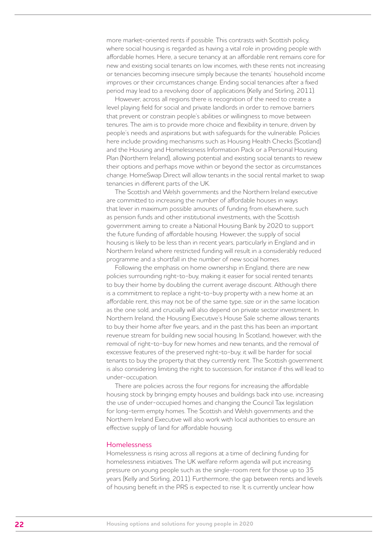more market-oriented rents if possible. This contrasts with Scottish policy, where social housing is regarded as having a vital role in providing people with affordable homes. Here, a secure tenancy at an affordable rent remains core for new and existing social tenants on low incomes, with these rents not increasing or tenancies becoming insecure simply because the tenants' household income improves or their circumstances change. Ending social tenancies after a fixed period may lead to a revolving door of applications (Kelly and Stirling, 2011).

However, across all regions there is recognition of the need to create a level playing field for social and private landlords in order to remove barriers that prevent or constrain people's abilities or willingness to move between tenures. The aim is to provide more choice and flexibility in tenure, driven by people's needs and aspirations but with safeguards for the vulnerable. Policies here include providing mechanisms such as Housing Health Checks (Scotland) and the Housing and Homelessness Information Pack or a Personal Housing Plan (Northern Ireland), allowing potential and existing social tenants to review their options and perhaps move within or beyond the sector as circumstances change. HomeSwap Direct will allow tenants in the social rental market to swap tenancies in different parts of the UK.

The Scottish and Welsh governments and the Northern Ireland executive are committed to increasing the number of affordable houses in ways that lever in maximum possible amounts of funding from elsewhere, such as pension funds and other institutional investments, with the Scottish government aiming to create a National Housing Bank by 2020 to support the future funding of affordable housing. However, the supply of social housing is likely to be less than in recent years, particularly in England and in Northern Ireland where restricted funding will result in a considerably reduced programme and a shortfall in the number of new social homes.

Following the emphasis on home ownership in England, there are new policies surrounding right-to-buy, making it easier for social rented tenants to buy their home by doubling the current average discount. Although there is a commitment to replace a right-to-buy property with a new home at an affordable rent, this may not be of the same type, size or in the same location as the one sold, and crucially will also depend on private sector investment. In Northern Ireland, the Housing Executive's House Sale scheme allows tenants to buy their home after five years, and in the past this has been an important revenue stream for building new social housing. In Scotland, however, with the removal of right-to-buy for new homes and new tenants, and the removal of excessive features of the preserved right-to-buy, it will be harder for social tenants to buy the property that they currently rent. The Scottish government is also considering limiting the right to succession, for instance if this will lead to under-occupation.

There are policies across the four regions for increasing the affordable housing stock by bringing empty houses and buildings back into use, increasing the use of under-occupied homes and changing the Council Tax legislation for long-term empty homes. The Scottish and Welsh governments and the Northern Ireland Executive will also work with local authorities to ensure an effective supply of land for affordable housing.

#### Homelessness

Homelessness is rising across all regions at a time of declining funding for homelessness initiatives. The UK welfare reform agenda will put increasing pressure on young people such as the single-room rent for those up to 35 years (Kelly and Stirling, 2011). Furthermore, the gap between rents and levels of housing benefit in the PRS is expected to rise. It is currently unclear how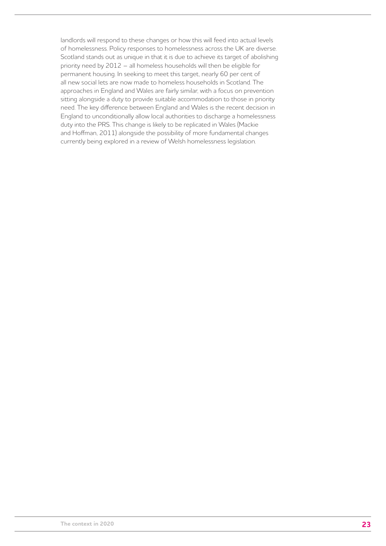landlords will respond to these changes or how this will feed into actual levels of homelessness. Policy responses to homelessness across the UK are diverse. Scotland stands out as unique in that it is due to achieve its target of abolishing priority need by 2012 – all homeless households will then be eligible for permanent housing. In seeking to meet this target, nearly 60 per cent of all new social lets are now made to homeless households in Scotland. The approaches in England and Wales are fairly similar, with a focus on prevention sitting alongside a duty to provide suitable accommodation to those in priority need. The key difference between England and Wales is the recent decision in England to unconditionally allow local authorities to discharge a homelessness duty into the PRS. This change is likely to be replicated in Wales (Mackie and Hoffman, 2011) alongside the possibility of more fundamental changes currently being explored in a review of Welsh homelessness legislation.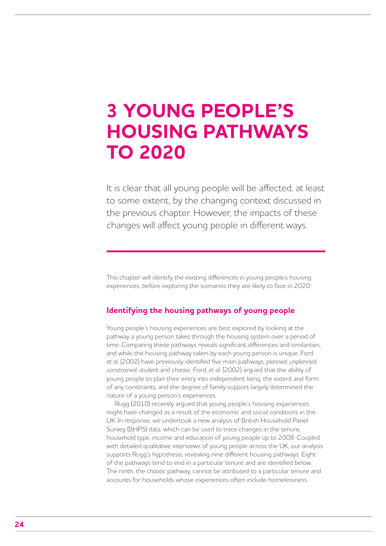## **3 YOUNG PEOPLE'S HOUSING PATHWAYS TO 2020**

It is clear that all young people will be affected, at least to some extent, by the changing context discussed in the previous chapter. However, the impacts of these changes will affect young people in different ways.

This chapter will identify the existing differences in young people's housing experiences, before exploring the scenarios they are likely to face in 2020.

## **Identifying the housing pathways of young people**

Young people's housing experiences are best explored by looking at the pathway a young person takes through the housing system over a period of time. Comparing these pathways reveals significant differences and similarities, and while the housing pathway taken by each young person is unique, Ford, *et al*. (2002) have previously identified five main pathways: *planned*, *unplanned*, *constrained*, *student* and *chaotic*. Ford, *et al*. (2002) argued that the ability of young people to plan their entry into independent living, the extent and form of any constraints, and the degree of family support largely determined the nature of a young person's experiences.

Rugg (2010) recently argued that young people's housing experiences might have changed as a result of the economic and social conditions in the UK. In response, we undertook a new analysis of British Household Panel Survey (BHPS) data, which can be used to trace changes in the tenure, household type, income and education of young people up to 2008. Coupled with detailed qualitative interviews of young people across the UK, our analysis supports Rugg's hypothesis, revealing nine different housing pathways. Eight of the pathways tend to end in a particular tenure and are identified below. The ninth, the *chaotic* pathway, cannot be attributed to a particular tenure and accounts for households whose experiences often include homelessness.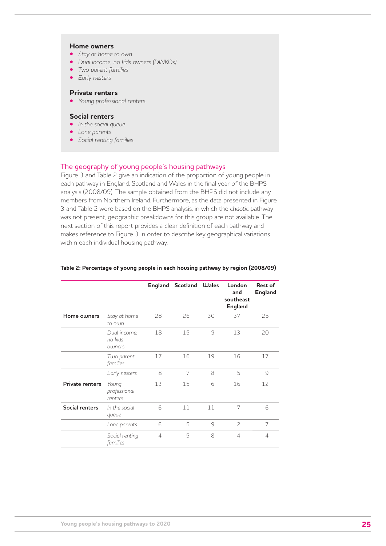#### **Home owners**

- **•**  *Stay at home to own*
- **•**  *Dual income, no kids owners (DINKOs)*
- **•**  *Two parent families*
- **•**  *Early nesters*

#### **Private renters**

**•**  *Young professional renters* 

#### **Social renters**

- **•**  *In the social queue*
- **•**  *Lone parents*
- **•**  *Social renting families*

#### The geography of young people's housing pathways

Figure 3 and Table 2 give an indication of the proportion of young people in each pathway in England, Scotland and Wales in the final year of the BHPS analysis (2008/09). The sample obtained from the BHPS did not include any members from Northern Ireland. Furthermore, as the data presented in Figure 3 and Table 2 were based on the BHPS analysis, in which the *chaotic* pathway was not present, geographic breakdowns for this group are not available. The next section of this report provides a clear definition of each pathway and makes reference to Figure 3 in order to describe key geographical variations within each individual housing pathway.

|                 |                                   |    | <b>England Scotland Wales</b> |    | London<br>and<br>southeast<br><b>England</b> | <b>Rest of</b><br><b>England</b> |
|-----------------|-----------------------------------|----|-------------------------------|----|----------------------------------------------|----------------------------------|
| Home owners     | Stay at home<br>to own            | 28 | 26                            | 30 | 37                                           | 25                               |
|                 | Dual income,<br>no kids<br>owners | 18 | 15                            | 9  | 13                                           | 20                               |
|                 | Two parent<br>families            | 17 | 16                            | 19 | 16                                           | 17                               |
|                 | Early nesters                     | 8  | 7                             | 8  | 5                                            | 9                                |
| Private renters | Young<br>professional<br>renters  | 13 | 15                            | 6  | 16                                           | 12                               |
| Social renters  | In the social<br>queue            | 6  | 11                            | 11 | 7                                            | 6                                |
|                 | Lone parents                      | 6  | 5                             | 9  | $\overline{\phantom{0}}$                     | 7                                |
|                 | Social renting<br>families        | 4  | 5                             | 8  | 4                                            | 4                                |

#### **Table 2: Percentage of young people in each housing pathway by region (2008/09)**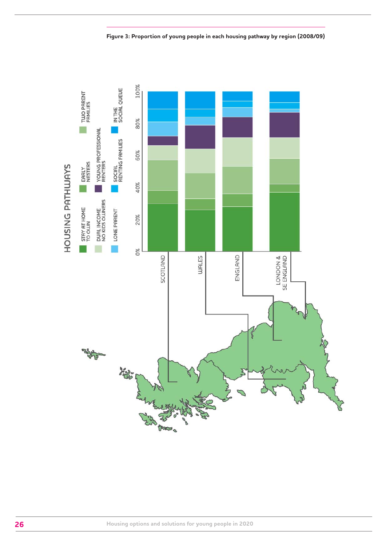

**Figure 3: Proportion of young people in each housing pathway by region (2008/09)**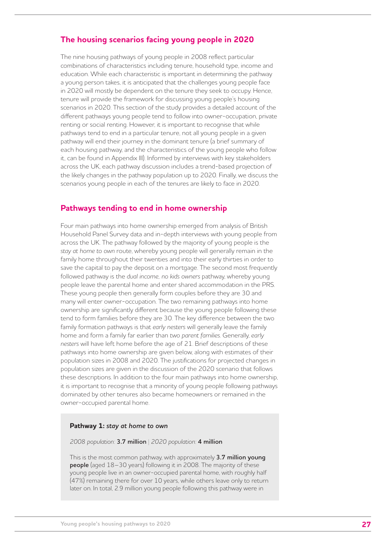## **The housing scenarios facing young people in 2020**

The nine housing pathways of young people in 2008 reflect particular combinations of characteristics including tenure, household type, income and education. While each characteristic is important in determining the pathway a young person takes, it is anticipated that the challenges young people face in 2020 will mostly be dependent on the tenure they seek to occupy. Hence, tenure will provide the framework for discussing young people's housing scenarios in 2020. This section of the study provides a detailed account of the different pathways young people tend to follow into owner-occupation, private renting or social renting. However, it is important to recognise that while pathways tend to end in a particular tenure, not all young people in a given pathway will end their journey in the dominant tenure (a brief summary of each housing pathway, and the characteristics of the young people who follow it, can be found in Appendix III). Informed by interviews with key stakeholders across the UK, each pathway discussion includes a trend-based projection of the likely changes in the pathway population up to 2020. Finally, we discuss the scenarios young people in each of the tenures are likely to face in 2020.

## **Pathways tending to end in home ownership**

Four main pathways into home ownership emerged from analysis of British Household Panel Survey data and in-depth interviews with young people from across the UK. The pathway followed by the majority of young people is the *stay at home to own* route, whereby young people will generally remain in the family home throughout their twenties and into their early thirties in order to save the capital to pay the deposit on a mortgage. The second most frequently followed pathway is the *dual income, no kids owners* pathway, whereby young people leave the parental home and enter shared accommodation in the PRS. These young people then generally form couples before they are 30 and many will enter owner-occupation. The two remaining pathways into home ownership are significantly different because the young people following these tend to form families before they are 30. The key difference between the two family formation pathways is that *early nesters* will generally leave the family home and form a family far earlier than *two parent families*. Generally, *early nesters* will have left home before the age of 21. Brief descriptions of these pathways into home ownership are given below, along with estimates of their population sizes in 2008 and 2020. The justifications for projected changes in population sizes are given in the discussion of the 2020 scenario that follows these descriptions. In addition to the four main pathways into home ownership, it is important to recognise that a minority of young people following pathways dominated by other tenures also became homeowners or remained in the owner-occupied parental home.

#### **Pathway 1:** *stay at home to own*

*2008 population:* **3.7 million** | *2020 population:* **4 million**

This is the most common pathway, with approximately **3.7 million young people** (aged 18–30 years) following it in 2008. The majority of these young people live in an owner-occupied parental home, with roughly half (47%) remaining there for over 10 years, while others leave only to return later on. In total, 2.9 million young people following this pathway were in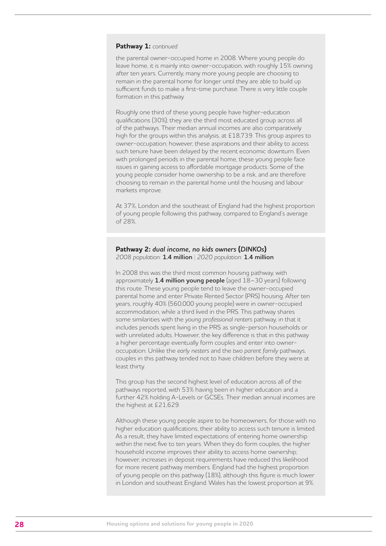#### **Pathway 1:** *continued*

the parental owner-occupied home in 2008. Where young people do leave home, it is mainly into owner-occupation, with roughly 15% owning after ten years. Currently, many more young people are choosing to remain in the parental home for longer until they are able to build up sufficient funds to make a first-time purchase. There is very little couple formation in this pathway.

Roughly one third of these young people have higher-education qualifications (30%); they are the third most educated group across all of the pathways. Their median annual incomes are also comparatively high for the groups within this analysis, at £18,739. This group aspires to owner-occupation; however, these aspirations and their ability to access such tenure have been delayed by the recent economic downturn. Even with prolonged periods in the parental home, these young people face issues in gaining access to affordable mortgage products. Some of the young people consider home ownership to be a risk, and are therefore choosing to remain in the parental home until the housing and labour markets improve.

At 37%, London and the southeast of England had the highest proportion of young people following this pathway, compared to England's average of 28%.

#### **Pathway 2:** *dual income, no kids owners* **(***DINKOs***)**  *2008 population:* **1.4 million** | *2020 population:* **1.4 million**

In 2008 this was the third most common housing pathway, with approximately **1.4 million young people** (aged 18–30 years) following this route. These young people tend to leave the owner-occupied parental home and enter Private Rented Sector (PRS) housing. After ten years, roughly 40% (560,000 young people) were in owner-occupied accommodation, while a third lived in the PRS. This pathway shares some similarities with the *young professional renters* pathway, in that it includes periods spent living in the PRS as single-person households or with unrelated adults. However, the key difference is that in this pathway a higher percentage eventually form couples and enter into owneroccupation. Unlike the *early nesters* and the *two parent family* pathways, couples in this pathway tended not to have children before they were at least thirty.

This group has the second highest level of education across all of the pathways reported, with 53% having been in higher education and a further 42% holding A-Levels or GCSEs. Their median annual incomes are the highest at £21,629.

Although these young people aspire to be homeowners, for those with no higher education qualifications, their ability to access such tenure is limited. As a result, they have limited expectations of entering home ownership within the next five to ten years. When they do form couples, the higher household income improves their ability to access home ownership; however, increases in deposit requirements have reduced this likelihood for more recent pathway members. England had the highest proportion of young people on this pathway (18%), although this figure is much lower in London and southeast England. Wales has the lowest proportion at 9%.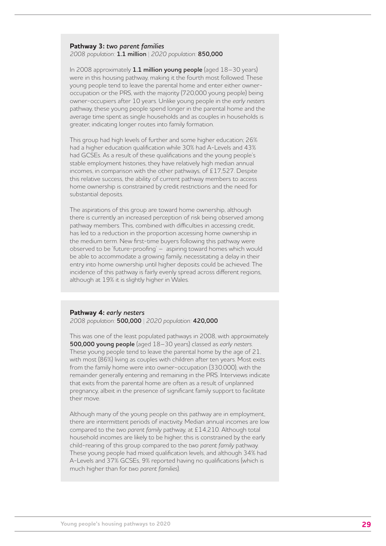## **Pathway 3:** *two parent families*

*2008 population:* **1.1 million** | *2020 population:* **850,000**

In 2008 approximately **1.1 million young people** (aged 18–30 years) were in this housing pathway, making it the fourth most followed. These young people tend to leave the parental home and enter either owneroccupation or the PRS, with the majority (720,000 young people) being owner-occupiers after 10 years. Unlike young people in the *early nesters* pathway, these young people spend longer in the parental home and the average time spent as single households and as couples in households is greater, indicating longer routes into family formation.

This group had high levels of further and some higher education; 26% had a higher education qualification while 30% had A-Levels and 43% had GCSEs. As a result of these qualifications and the young people's stable employment histories, they have relatively high median annual incomes, in comparison with the other pathways, of £17,527. Despite this relative success, the ability of current pathway members to access home ownership is constrained by credit restrictions and the need for substantial deposits.

The aspirations of this group are toward home ownership, although there is currently an increased perception of risk being observed among pathway members. This, combined with difficulties in accessing credit, has led to a reduction in the proportion accessing home ownership in the medium term. New first-time buyers following this pathway were observed to be 'future-proofing' – aspiring toward homes which would be able to accommodate a growing family, necessitating a delay in their entry into home ownership until higher deposits could be achieved. The incidence of this pathway is fairly evenly spread across different regions, although at 19% it is slightly higher in Wales.

#### **Pathway 4:** *early nesters*

*2008 population:* **500,000** | *2020 population:* **420,000**

This was one of the least populated pathways in 2008, with approximately **500,000 young people** (aged 18–30 years) classed as *early nesters*. These young people tend to leave the parental home by the age of 21, with most (86%) living as couples with children after ten years. Most exits from the family home were into owner-occupation (330,000), with the remainder generally entering and remaining in the PRS. Interviews indicate that exits from the parental home are often as a result of unplanned pregnancy, albeit in the presence of significant family support to facilitate their move.

Although many of the young people on this pathway are in employment, there are intermittent periods of inactivity. Median annual incomes are low compared to the *two parent family* pathway, at £14,210. Although total household incomes are likely to be higher, this is constrained by the early child-rearing of this group compared to the *two parent family* pathway. These young people had mixed qualification levels, and although 34% had A-Levels and 37% GCSEs, 9% reported having no qualifications (which is much higher than for *two parent families*).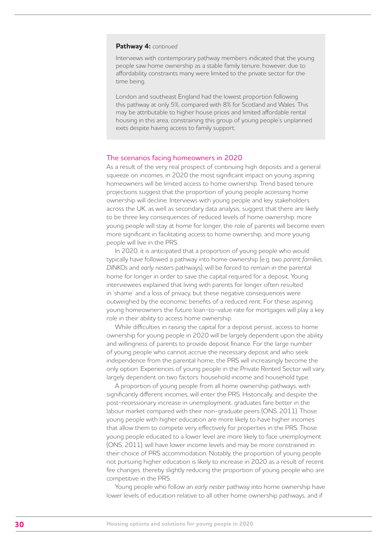#### **Pathway 4:** *continued*

Interviews with contemporary pathway members indicated that the young people saw home ownership as a stable family tenure; however, due to affordability constraints many were limited to the private sector for the time being.

London and southeast England had the lowest proportion following this pathway at only 5%, compared with 8% for Scotland and Wales. This may be attributable to higher house prices and limited affordable rental housing in this area, constraining this group of young people's unplanned exits despite having access to family support.

#### The scenarios facing homeowners in 2020

As a result of the very real prospect of continuing high deposits and a general squeeze on incomes, in 2020 the most significant impact on young aspiring homeowners will be limited access to home ownership. Trend based tenure projections suggest that the proportion of young people accessing home ownership will decline. Interviews with young people and key stakeholders across the UK, as well as secondary data analysis, suggest that there are likely to be three key consequences of reduced levels of home ownership: more young people will stay at home for longer, the role of parents will become even more significant in facilitating access to home ownership, and more young people will live in the PRS.

In 2020, it is anticipated that a proportion of young people who would typically have followed a pathway into home ownership (e.g. *two parent families*, *DINKOs* and *early nesters* pathways), will be forced to remain in the parental home for longer in order to save the capital required for a deposit. Young interviewees explained that living with parents for longer often resulted in 'shame' and a loss of privacy, but these negative consequences were outweighed by the economic benefits of a reduced rent. For these aspiring young homeowners the future loan-to-value rate for mortgages will play a key role in their ability to access home ownership.

While difficulties in raising the capital for a deposit persist, access to home ownership for young people in 2020 will be largely dependent upon the ability and willingness of parents to provide deposit finance. For the large number of young people who cannot accrue the necessary deposit and who seek independence from the parental home, the PRS will increasingly become the only option. Experiences of young people in the Private Rented Sector will vary, largely dependent on two factors: household income and household type.

A proportion of young people from all home ownership pathways, with significantly different incomes, will enter the PRS. Historically, and despite the post-recessionary increase in unemployment, graduates fare better in the labour market compared with their non-graduate peers (ONS, 2011). Those young people with higher education are more likely to have higher incomes that allow them to compete very effectively for properties in the PRS. Those young people educated to a lower level are more likely to face unemployment (ONS, 2011), will have lower income levels and may be more constrained in their choice of PRS accommodation. Notably, the proportion of young people not pursuing higher education is likely to increase in 2020 as a result of recent fee changes, thereby slightly reducing the proportion of young people who are competitive in the PRS.

Young people who follow an *early nester* pathway into home ownership have lower levels of education relative to all other home ownership pathways, and if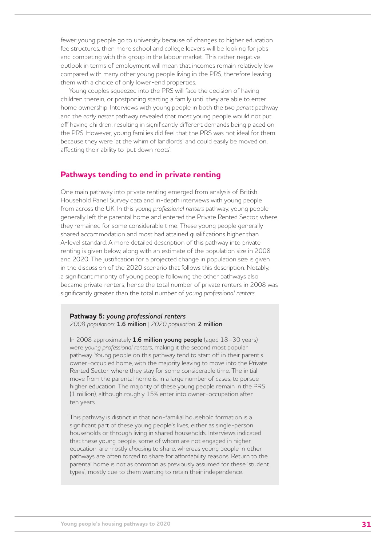fewer young people go to university because of changes to higher education fee structures, then more school and college leavers will be looking for jobs and competing with this group in the labour market. This rather negative outlook in terms of employment will mean that incomes remain relatively low compared with many other young people living in the PRS, therefore leaving them with a choice of only lower-end properties.

Young couples squeezed into the PRS will face the decision of having children therein, or postponing starting a family until they are able to enter home ownership. Interviews with young people in both the *two parent* pathway and the *early nester* pathway revealed that most young people would not put off having children, resulting in significantly different demands being placed on the PRS. However, young families did feel that the PRS was not ideal for them because they were 'at the whim of landlords' and could easily be moved on, affecting their ability to 'put down roots'.

### **Pathways tending to end in private renting**

One main pathway into private renting emerged from analysis of British Household Panel Survey data and in-depth interviews with young people from across the UK. In this *young professional renters* pathway, young people generally left the parental home and entered the Private Rented Sector, where they remained for some considerable time. These young people generally shared accommodation and most had attained qualifications higher than A-level standard. A more detailed description of this pathway into private renting is given below, along with an estimate of the population size in 2008 and 2020. The justification for a projected change in population size is given in the discussion of the 2020 scenario that follows this description. Notably, a significant minority of young people following the other pathways also became private renters, hence the total number of private renters in 2008 was significantly greater than the total number of *young professional renters*.

#### **Pathway 5:** *young professional renters* *2008 population:* **1.6 million** | *2020 population:* **2 million**

In 2008 approximately **1.6 million young people** (aged 18–30 years) were *young professional renters*, making it the second most popular pathway. Young people on this pathway tend to start off in their parent's owner-occupied home, with the majority leaving to move into the Private Rented Sector, where they stay for some considerable time. The initial move from the parental home is, in a large number of cases, to pursue higher education. The majority of these young people remain in the PRS (1 million), although roughly 15% enter into owner-occupation after ten years.

This pathway is distinct in that non-familial household formation is a significant part of these young people's lives, either as single-person households or through living in shared households. Interviews indicated that these young people, some of whom are not engaged in higher education, are mostly *choosing* to share, whereas young people in other pathways are often forced to share for affordability reasons. Return to the parental home is not as common as previously assumed for these 'student types', mostly due to them wanting to retain their independence.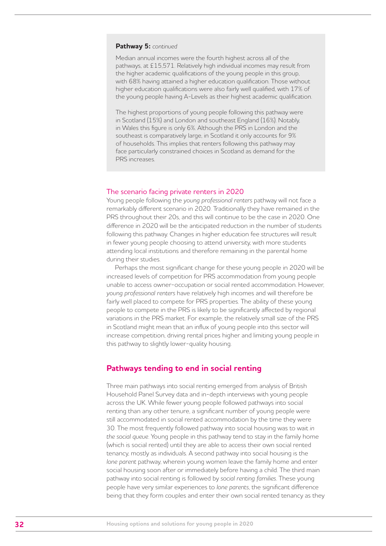#### **Pathway 5:** *continued*

Median annual incomes were the fourth highest across all of the pathways, at £15,571. Relatively high individual incomes may result from the higher academic qualifications of the young people in this group, with 68% having attained a higher education qualification. Those without higher education qualifications were also fairly well qualified, with 17% of the young people having A-Levels as their highest academic qualification.

The highest proportions of young people following this pathway were in Scotland (15%) and London and southeast England (16%). Notably, in Wales this figure is only 6%. Although the PRS in London and the southeast is comparatively large, in Scotland it only accounts for 9% of households. This implies that renters following this pathway may face particularly constrained choices in Scotland as demand for the PRS increases.

#### The scenario facing private renters in 2020

Young people following the *young professional renters* pathway will not face a remarkably different scenario in 2020. Traditionally they have remained in the PRS throughout their 20s, and this will continue to be the case in 2020. One difference in 2020 will be the anticipated reduction in the number of students following this pathway. Changes in higher education fee structures will result in fewer young people choosing to attend university, with more students attending local institutions and therefore remaining in the parental home during their studies.

Perhaps the most significant change for these young people in 2020 will be increased levels of competition for PRS accommodation from young people unable to access owner-occupation or social rented accommodation. However, *young professional renters* have relatively high incomes and will therefore be fairly well placed to compete for PRS properties. The ability of these young people to compete in the PRS is likely to be significantly affected by regional variations in the PRS market. For example, the relatively small size of the PRS in Scotland might mean that an influx of young people into this sector will increase competition, driving rental prices higher and limiting young people in this pathway to slightly lower-quality housing.

### **Pathways tending to end in social renting**

Three main pathways into social renting emerged from analysis of British Household Panel Survey data and in-depth interviews with young people across the UK. While fewer young people followed pathways into social renting than any other tenure, a significant number of young people were still accommodated in social rented accommodation by the time they were 30. The most frequently followed pathway into social housing was to wait *in the social queue*. Young people in this pathway tend to stay in the family home (which is social rented) until they are able to access their own social rented tenancy, mostly as individuals. A second pathway into social housing is the *lone parent* pathway, wherein young women leave the family home and enter social housing soon after or immediately before having a child. The third main pathway into social renting is followed by *social renting families*. These young people have very similar experiences to *lone parents*, the significant difference being that they form couples and enter their own social rented tenancy as they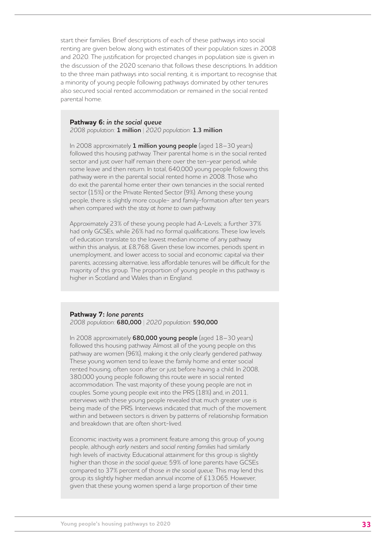start their families. Brief descriptions of each of these pathways into social renting are given below, along with estimates of their population sizes in 2008 and 2020. The justification for projected changes in population size is given in the discussion of the 2020 scenario that follows these descriptions. In addition to the three main pathways into social renting, it is important to recognise that a minority of young people following pathways dominated by other tenures also secured social rented accommodation or remained in the social rented parental home.

#### **Pathway 6:** *in the social queue*

*2008 population:* **1 million** | *2020 population:* **1.3 million**

In 2008 approximately **1 million young people** (aged 18–30 years) followed this housing pathway. Their parental home is in the social rented sector and just over half remain there over the ten-year period, while some leave and then return. In total, 640,000 young people following this pathway were in the parental social rented home in 2008. Those who do exit the parental home enter their own tenancies in the social rented sector (15%) or the Private Rented Sector (9%). Among these young people, there is slightly more couple- and family-formation after ten years when compared with the *stay at home to own* pathway.

Approximately 23% of these young people had A-Levels; a further 37% had only GCSEs, while 26% had no formal qualifications. These low levels of education translate to the lowest median income of any pathway within this analysis, at £8,768. Given these low incomes, periods spent in unemployment, and lower access to social and economic capital via their parents, accessing alternative, less affordable tenures will be difficult for the majority of this group. The proportion of young people in this pathway is higher in Scotland and Wales than in England.

#### **Pathway 7:** *lone parents*

*2008 population:* **680,000** | *2020 population:* **590,000**

In 2008 approximately **680,000 young people** (aged 18–30 years) followed this housing pathway. Almost all of the young people on this pathway are women (96%), making it the only clearly gendered pathway. These young women tend to leave the family home and enter social rented housing, often soon after or just before having a child. In 2008, 380,000 young people following this route were in social rented accommodation. The vast majority of these young people are not in couples. Some young people exit into the PRS (18%) and, in 2011, interviews with these young people revealed that much greater use is being made of the PRS. Interviews indicated that much of the movement within and between sectors is driven by patterns of relationship formation and breakdown that are often short-lived.

Economic inactivity was a prominent feature among this group of young people, although *early nesters* and *social renting families* had similarly high levels of inactivity. Educational attainment for this group is slightly higher than those *in the social queue*; 59% of lone parents have GCSEs compared to 37% percent of those *in the social queue*. This may lend this group its slightly higher median annual income of £13,065. However, given that these young women spend a large proportion of their time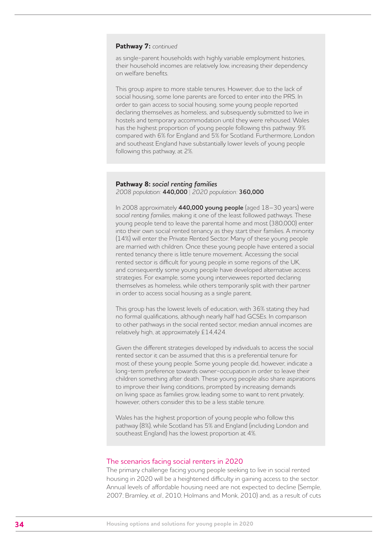#### **Pathway 7:** *continued*

as single-parent households with highly variable employment histories, their household incomes are relatively low, increasing their dependency on welfare benefits.

This group aspire to more stable tenures. However, due to the lack of social housing, some lone parents are forced to enter into the PRS. In order to gain access to social housing, some young people reported declaring themselves as homeless, and subsequently submitted to live in hostels and temporary accommodation until they were rehoused. Wales has the highest proportion of young people following this pathway: 9% compared with 6% for England and 5% for Scotland. Furthermore, London and southeast England have substantially lower levels of young people following this pathway, at 2%.

#### **Pathway 8:** *social renting families* *2008 population:* **440,000** | *2020 population:* **360,000**

In 2008 approximately **440,000 young people** (aged 18–30 years) were *social renting families*, making it one of the least followed pathways. These young people tend to leave the parental home and most (380,000) enter into their own social rented tenancy as they start their families. A minority (14%) will enter the Private Rented Sector. Many of these young people are married with children. Once these young people have entered a social rented tenancy there is little tenure movement. Accessing the social rented sector is difficult for young people in some regions of the UK, and consequently some young people have developed alternative access strategies. For example, some young interviewees reported declaring themselves as homeless, while others temporarily split with their partner in order to access social housing as a single parent.

This group has the lowest levels of education, with 36% stating they had no formal qualifications, although nearly half had GCSEs. In comparison to other pathways in the social rented sector, median annual incomes are relatively high, at approximately £14,424.

Given the different strategies developed by individuals to access the social rented sector it can be assumed that this is a preferential tenure for most of these young people. Some young people did, however, indicate a long-term preference towards owner-occupation in order to leave their children something after death. These young people also share aspirations to improve their living conditions, prompted by increasing demands on living space as families grow, leading some to want to rent privately; however, others consider this to be a less stable tenure.

Wales has the highest proportion of young people who follow this pathway (8%), while Scotland has 5% and England (including London and southeast England) has the lowest proportion at 4%.

#### The scenarios facing social renters in 2020

The primary challenge facing young people seeking to live in social rented housing in 2020 will be a heightened difficulty in gaining access to the sector. Annual levels of affordable housing need are not expected to decline (Semple, 2007; Bramley, *et al*., 2010; Holmans and Monk, 2010) and, as a result of cuts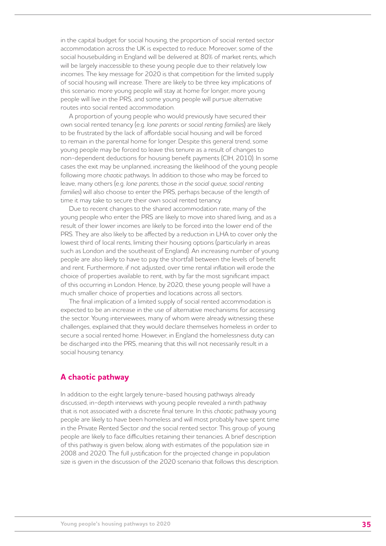in the capital budget for social housing, the proportion of social rented sector accommodation across the UK is expected to reduce. Moreover, some of the social housebuilding in England will be delivered at 80% of market rents, which will be largely inaccessible to these young people due to their relatively low incomes. The key message for 2020 is that competition for the limited supply of social housing will increase. There are likely to be three key implications of this scenario: more young people will stay at home for longer, more young people will live in the PRS, and some young people will pursue alternative routes into social rented accommodation.

A proportion of young people who would previously have secured their own social rented tenancy (e.g. *lone parents* or *social renting families*) are likely to be frustrated by the lack of affordable social housing and will be forced to remain in the parental home for longer. Despite this general trend, some young people may be forced to leave this tenure as a result of changes to non-dependent deductions for housing benefit payments (CIH, 2010). In some cases the exit may be unplanned, increasing the likelihood of the young people following more *chaotic* pathways. In addition to those who may be forced to leave, many others (e.g. *lone parents*, those *in the social queue*, *social renting families*) will also choose to enter the PRS, perhaps because of the length of time it may take to secure their own social rented tenancy.

Due to recent changes to the shared accommodation rate, many of the young people who enter the PRS are likely to move into shared living, and as a result of their lower incomes are likely to be forced into the lower end of the PRS. They are also likely to be affected by a reduction in LHA to cover only the lowest third of local rents, limiting their housing options (particularly in areas such as London and the southeast of England). An increasing number of young people are also likely to have to pay the shortfall between the levels of benefit and rent. Furthermore, if not adjusted, over time rental inflation will erode the choice of properties available to rent, with by far the most significant impact of this occurring in London. Hence, by 2020, these young people will have a much smaller choice of properties and locations across all sectors.

The final implication of a limited supply of social rented accommodation is expected to be an increase in the use of alternative mechanisms for accessing the sector. Young interviewees, many of whom were already witnessing these challenges, explained that they would declare themselves homeless in order to secure a social rented home. However, in England the homelessness duty can be discharged into the PRS, meaning that this will not necessarily result in a social housing tenancy.

## **A chaotic pathway**

In addition to the eight largely tenure-based housing pathways already discussed, in-depth interviews with young people revealed a ninth pathway that is not associated with a discrete final tenure. In this *chaotic* pathway young people are likely to have been homeless and will most probably have spent time in the Private Rented Sector *and* the social rented sector. This group of young people are likely to face difficulties retaining their tenancies. A brief description of this pathway is given below, along with estimates of the population size in 2008 and 2020. The full justification for the projected change in population size is given in the discussion of the 2020 scenario that follows this description.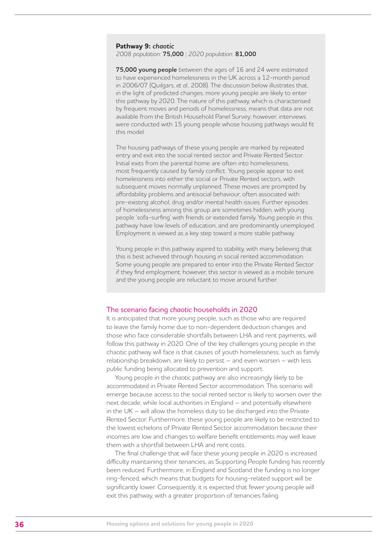#### **Pathway 9:** *chaotic* *2008 population:* **75,000** | *2020 population:* **81,000**

**75,000 young people** between the ages of 16 and 24 were estimated to have experienced homelessness in the UK across a 12-month period in 2006/07 (Quilgars, *et al*., 2008). The discussion below illustrates that, in the light of predicted changes, more young people are likely to enter this pathway by 2020. The nature of this pathway, which is characterised by frequent moves and periods of homelessness, means that data are not available from the British Household Panel Survey; however, interviews were conducted with 15 young people whose housing pathways would fit this model.

The housing pathways of these young people are marked by repeated entry and exit into the social rented sector and Private Rented Sector. Initial exits from the parental home are often into homelessness, most frequently caused by family conflict. Young people appear to exit homelessness into either the social or Private Rented sectors, with subsequent moves normally unplanned. These moves are prompted by affordability problems and antisocial behaviour, often associated with pre-existing alcohol, drug and/or mental health issues. Further episodes of homelessness among this group are sometimes hidden, with young people 'sofa-surfing' with friends or extended family. Young people in this pathway have low levels of education, and are predominantly unemployed. Employment is viewed as a key step toward a more stable pathway.

Young people in this pathway aspired to stability, with many believing that this is best achieved through housing in social rented accommodation. Some young people are prepared to enter into the Private Rented Sector if they find employment; however, this sector is viewed as a mobile tenure and the young people are reluctant to move around further.

### The scenario facing *chaotic* households in 2020

It is anticipated that more young people, such as those who are required to leave the family home due to non-dependent deduction changes and those who face considerable shortfalls between LHA and rent payments, will follow this pathway in 2020. One of the key challenges young people in the chaotic pathway will face is that causes of youth homelessness, such as family relationship breakdown, are likely to persist – and even worsen – with less public funding being allocated to prevention and support.

Young people in the *chaotic* pathway are also increasingly likely to be accommodated in Private Rented Sector accommodation. This scenario will emerge because access to the social rented sector is likely to worsen over the next decade, while local authorities in England – and potentially elsewhere in the UK – will allow the homeless duty to be discharged into the Private Rented Sector. Furthermore, these young people are likely to be restricted to the lowest echelons of Private Rented Sector accommodation because their incomes are low and changes to welfare benefit entitlements may well leave them with a shortfall between LHA and rent costs.

The final challenge that will face these young people in 2020 is increased difficulty maintaining their tenancies, as Supporting People funding has recently been reduced. Furthermore, in England and Scotland the funding is no longer ring-fenced, which means that budgets for housing-related support will be significantly lower. Consequently, it is expected that fewer young people will exit this pathway, with a greater proportion of tenancies failing.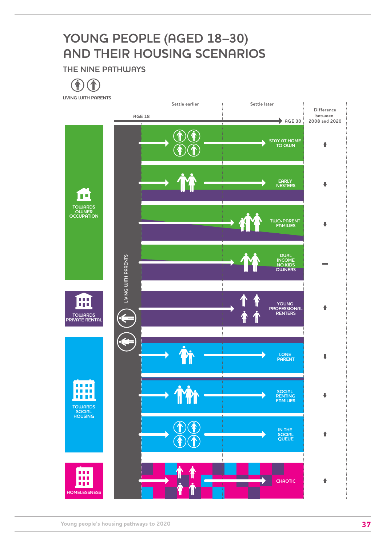## **YOUNG PEOPLE (AGED 18–30) AND THEIR HOUSING SCENARIOS**

**THE NINE PATHUJAYS** 

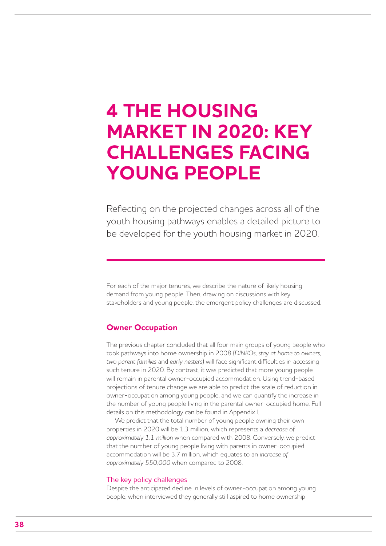## **4 THE HOUSING MARKET IN 2020: KEY CHALLENGES FACING YOUNG PEOPLE**

Reflecting on the projected changes across all of the youth housing pathways enables a detailed picture to be developed for the youth housing market in 2020.

For each of the major tenures, we describe the nature of likely housing demand from young people. Then, drawing on discussions with key stakeholders and young people, the emergent policy challenges are discussed.

### **Owner Occupation**

The previous chapter concluded that all four main groups of young people who took pathways into home ownership in 2008 (*DINKOs*, *stay at home to owners*, *two parent families* and *early nesters*) will face significant difficulties in accessing such tenure in 2020. By contrast, it was predicted that more young people will remain in parental owner-occupied accommodation. Using trend-based projections of tenure change we are able to predict the scale of reduction in owner-occupation among young people, and we can quantify the increase in the number of young people living in the parental owner-occupied home. Full details on this methodology can be found in Appendix I.

We predict that the total number of young people owning their own properties in 2020 will be 1.3 million, which represents a *decrease of approximately 1.1 million* when compared with 2008. Conversely, we predict that the number of young people living with parents in owner-occupied accommodation will be 3.7 million, which equates to an *increase of approximately 550,000* when compared to 2008.

#### The key policy challenges

Despite the anticipated decline in levels of owner-occupation among young people, when interviewed they generally still aspired to home ownership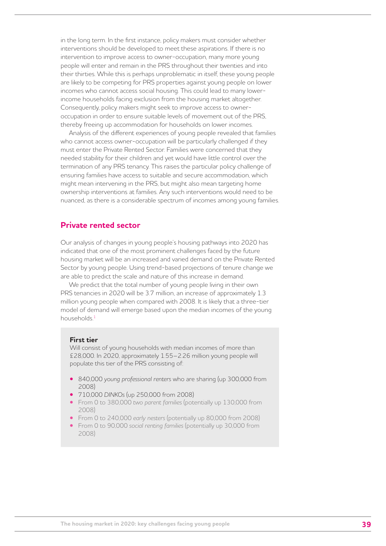in the long term. In the first instance, policy makers must consider whether interventions should be developed to meet these aspirations. If there is no intervention to improve access to owner-occupation, many more young people will enter and remain in the PRS throughout their twenties and into their thirties. While this is perhaps unproblematic in itself, these young people are likely to be competing for PRS properties against young people on lower incomes who cannot access social housing. This could lead to many lowerincome households facing exclusion from the housing market altogether. Consequently, policy makers might seek to improve access to owneroccupation in order to ensure suitable levels of movement out of the PRS, thereby freeing up accommodation for households on lower incomes.

Analysis of the different experiences of young people revealed that families who cannot access owner-occupation will be particularly challenged if they must enter the Private Rented Sector. Families were concerned that they needed stability for their children and yet would have little control over the termination of any PRS tenancy. This raises the particular policy challenge of ensuring families have access to suitable and secure accommodation, which might mean intervening in the PRS, but might also mean targeting home ownership interventions at families. Any such interventions would need to be nuanced, as there is a considerable spectrum of incomes among young families.

## **Private rented sector**

Our analysis of changes in young people's housing pathways into 2020 has indicated that one of the most prominent challenges faced by the future housing market will be an increased and varied demand on the Private Rented Sector by young people. Using trend-based projections of tenure change we are able to predict the scale and nature of this increase in demand.

We predict that the total number of young people living in their own PRS tenancies in 2020 will be 3.7 million, an increase of approximately 1.3 million young people when compared with 2008. It is likely that a three-tier model of demand will emerge based upon the median incomes of the young households<sup>1</sup>

#### **First tier**

Will consist of young households with median incomes of more than £28,000. In 2020, approximately 1.55–2.26 million young people will populate this tier of the PRS consisting of:

- **•**  840,000 *young professional renters* who are sharing (up 300,000 from 2008)
- **•**  710,000 *DINKOs* (up 250,000 from 2008)
- **•**  From 0 to 380,000 *two parent families* (potentially up 130,000 from 2008)
- **•**  From 0 to 240,000 *early nesters* (potentially up 80,000 from 2008)
- **•**  From 0 to 90,000 *social renting families* (potentially up 30,000 from 2008)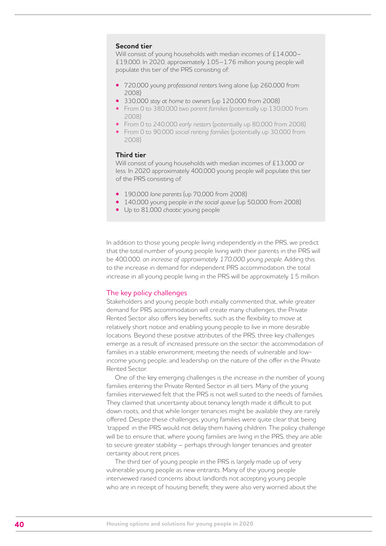#### **Second tier**

Will consist of young households with median incomes of £14,000– £19,000. In 2020, approximately 1.05–1.76 million young people will populate this tier of the PRS consisting of:

- **•**  720,000 *young professional renters* living alone (up 260,000 from 2008)
- **•**  330,000 *stay at home to owners* (up 120,000 from 2008)
- **•**  From 0 to 380,000 *two parent families* (potentially up 130,000 from 2008)
- **•**  From 0 to 240,000 *early nesters* (potentially up 80,000 from 2008)
- **•**  From 0 to 90,000 *social renting families* (potentially up 30,000 from 2008)

#### **Third tier**

Will consist of young households with median incomes of £13,000 or less. In 2020 approximately 400,000 young people will populate this tier of the PRS consisting of:

- **•**  190,000 *lone parents* (up 70,000 from 2008)
- 140,000 young people in the social queue (up 50,000 from 2008)
- **•**  Up to 81,000 *chaotic* young people

In addition to those young people living independently in the PRS, we predict that the total number of young people living with their parents in the PRS will be 400,000, *an increase of approximately 170,000 young people*. Adding this to the increase in demand for independent PRS accommodation, the total increase in all young people living in the PRS will be approximately 1.5 million.

#### The key policy challenges

Stakeholders and young people both initially commented that, while greater demand for PRS accommodation will create many challenges, the Private Rented Sector also offers key benefits, such as the flexibility to move at relatively short notice and enabling young people to live in more desirable locations. Beyond these positive attributes of the PRS, three key challenges emerge as a result of increased pressure on the sector: the accommodation of families in a stable environment; meeting the needs of vulnerable and lowincome young people; and leadership on the nature of the offer in the Private Rented Sector.

One of the key emerging challenges is the increase in the number of young families entering the Private Rented Sector in all tiers. Many of the young families interviewed felt that the PRS is not well suited to the needs of families. They claimed that uncertainty about tenancy length made it difficult to put down roots, and that while longer tenancies might be available they are rarely offered. Despite these challenges, young families were quite clear that being 'trapped' in the PRS would not delay them having children. The policy challenge will be to ensure that, where young families are living in the PRS, they are able to secure greater stability – perhaps through longer tenancies and greater certainty about rent prices.

The third tier of young people in the PRS is largely made up of very vulnerable young people as new entrants. Many of the young people interviewed raised concerns about landlords not accepting young people who are in receipt of housing benefit; they were also very worried about the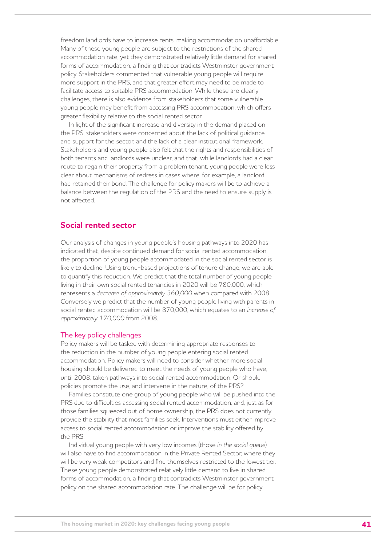freedom landlords have to increase rents, making accommodation unaffordable. Many of these young people are subject to the restrictions of the shared accommodation rate, yet they demonstrated relatively little demand for shared forms of accommodation, a finding that contradicts Westminster government policy. Stakeholders commented that vulnerable young people will require more support in the PRS, and that greater effort may need to be made to facilitate access to suitable PRS accommodation. While these are clearly challenges, there is also evidence from stakeholders that some vulnerable young people may benefit from accessing PRS accommodation, which offers greater flexibility relative to the social rented sector.

In light of the significant increase and diversity in the demand placed on the PRS, stakeholders were concerned about the lack of political guidance and support for the sector, and the lack of a clear institutional framework. Stakeholders and young people also felt that the rights and responsibilities of both tenants and landlords were unclear, and that, while landlords had a clear route to regain their property from a problem tenant, young people were less clear about mechanisms of redress in cases where, for example, a landlord had retained their bond. The challenge for policy makers will be to achieve a balance between the regulation of the PRS and the need to ensure supply is not affected.

## **Social rented sector**

Our analysis of changes in young people's housing pathways into 2020 has indicated that, despite continued demand for social rented accommodation, the proportion of young people accommodated in the social rented sector is likely to decline. Using trend-based projections of tenure change, we are able to quantify this reduction. We predict that the total number of young people living in their own social rented tenancies in 2020 will be 780,000, which represents a *decrease of approximately 360,000* when compared with 2008. Conversely we predict that the number of young people living with parents in social rented accommodation will be 870,000, which equates to an *increase of approximately 170,000* from 2008.

#### The key policy challenges

Policy makers will be tasked with determining appropriate responses to the reduction in the number of young people entering social rented accommodation. Policy makers will need to consider whether more social housing should be delivered to meet the needs of young people who have, until 2008, taken pathways into social rented accommodation. Or should policies promote the use, and intervene in the nature, of the PRS?

Families constitute one group of young people who will be pushed into the PRS due to difficulties accessing social rented accommodation, and, just as for those families squeezed out of home ownership, the PRS does not currently provide the stability that most families seek. Interventions must either improve access to social rented accommodation or improve the stability offered by the PRS.

Individual young people with very low incomes (those *in the social queue*) will also have to find accommodation in the Private Rented Sector, where they will be very weak competitors and find themselves restricted to the lowest tier. These young people demonstrated relatively little demand to live in shared forms of accommodation, a finding that contradicts Westminster government policy on the shared accommodation rate. The challenge will be for policy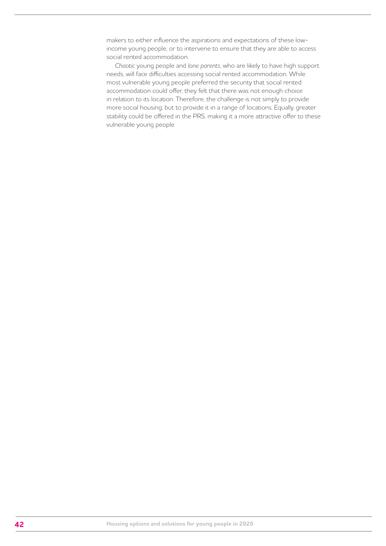makers to either influence the aspirations and expectations of these lowincome young people, or to intervene to ensure that they are able to access social rented accommodation.

*Chaotic* young people and *lone parents*, who are likely to have high support needs, will face difficulties accessing social rented accommodation. While most vulnerable young people preferred the security that social rented accommodation could offer, they felt that there was not enough choice in relation to its location. Therefore, the challenge is not simply to provide more social housing, but to provide it in a range of locations. Equally, greater stability could be offered in the PRS, making it a more attractive offer to these vulnerable young people.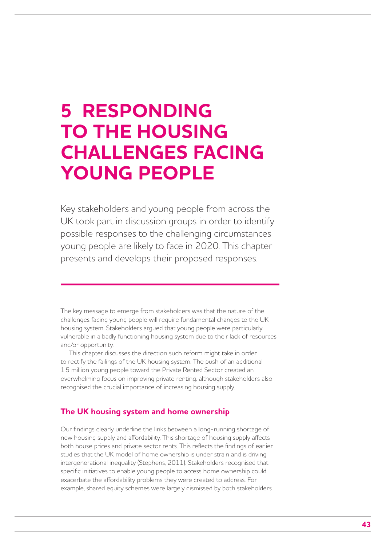## **5 RESPONDING TO THE HOUSING CHALLENGES FACING YOUNG PEOPLE**

Key stakeholders and young people from across the UK took part in discussion groups in order to identify possible responses to the challenging circumstances young people are likely to face in 2020. This chapter presents and develops their proposed responses.

The key message to emerge from stakeholders was that the nature of the challenges facing young people will require fundamental changes to the UK housing system. Stakeholders argued that young people were particularly vulnerable in a badly functioning housing system due to their lack of resources and/or opportunity.

This chapter discusses the direction such reform might take in order to rectify the failings of the UK housing system. The push of an additional 1.5 million young people toward the Private Rented Sector created an overwhelming focus on improving private renting, although stakeholders also recognised the crucial importance of increasing housing supply.

## **The UK housing system and home ownership**

Our findings clearly underline the links between a long-running shortage of new housing supply and affordability. This shortage of housing supply affects both house prices and private sector rents. This reflects the findings of earlier studies that the UK model of home ownership is under strain and is driving intergenerational inequality (Stephens, 2011). Stakeholders recognised that specific initiatives to enable young people to access home ownership could exacerbate the affordability problems they were created to address. For example, shared equity schemes were largely dismissed by both stakeholders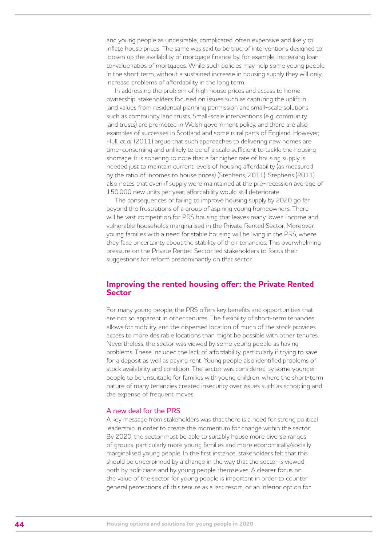and young people as undesirable, complicated, often expensive and likely to inflate house prices. The same was said to be true of interventions designed to loosen up the availability of mortgage finance by, for example, increasing loanto-value ratios of mortgages. While such policies may help some young people in the short term, without a sustained increase in housing supply they will only increase problems of affordability in the long term.

In addressing the problem of high house prices and access to home ownership, stakeholders focused on issues such as capturing the uplift in land values from residential planning permission and small-scale solutions such as community land trusts. Small-scale interventions (e.g. community land trusts) are promoted in Welsh government policy, and there are also examples of successes in Scotland and some rural parts of England. However, Hull, *et al*. (2011) argue that such approaches to delivering new homes are time-consuming and unlikely to be of a scale sufficient to tackle the housing shortage. It is sobering to note that a far higher rate of housing supply is needed just to maintain current levels of housing affordability (as measured by the ratio of incomes to house prices) (Stephens, 2011). Stephens (2011) also notes that even if supply were maintained at the pre-recession average of 150,000 new units per year, affordability would still deteriorate.

The consequences of failing to improve housing supply by 2020 go far beyond the frustrations of a group of aspiring young homeowners. There will be vast competition for PRS housing that leaves many lower-income and vulnerable households marginalised in the Private Rented Sector. Moreover, young families with a need for stable housing will be living in the PRS, where they face uncertainty about the stability of their tenancies. This overwhelming pressure on the Private Rented Sector led stakeholders to focus their suggestions for reform predominantly on that sector.

### **Improving the rented housing offer: the Private Rented Sector**

For many young people, the PRS offers key benefits and opportunities that are not so apparent in other tenures. The flexibility of short-term tenancies allows for mobility, and the dispersed location of much of the stock provides access to more desirable locations than might be possible with other tenures. Nevertheless, the sector was viewed by some young people as having problems. These included the lack of affordability, particularly if trying to save for a deposit as well as paying rent. Young people also identified problems of stock availability and condition. The sector was considered by some younger people to be unsuitable for families with young children, where the short-term nature of many tenancies created insecurity over issues such as schooling and the expense of frequent moves.

#### A new deal for the PRS

A key message from stakeholders was that there is a need for strong political leadership in order to create the momentum for change within the sector. By 2020, the sector must be able to suitably house more diverse ranges of groups, particularly more young families and more economically/socially marginalised young people. In the first instance, stakeholders felt that this should be underpinned by a change in the way that the sector is viewed both by politicians and by young people themselves. A clearer focus on the value of the sector for young people is important in order to counter general perceptions of this tenure as a last resort, or an inferior option for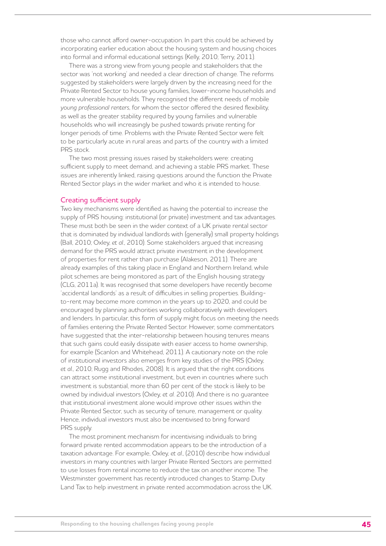those who cannot afford owner-occupation. In part this could be achieved by incorporating earlier education about the housing system and housing choices into formal and informal educational settings (Kelly, 2010; Terry, 2011).

There was a strong view from young people and stakeholders that the sector was 'not working' and needed a clear direction of change. The reforms suggested by stakeholders were largely driven by the increasing need for the Private Rented Sector to house young families, lower-income households and more vulnerable households. They recognised the different needs of mobile *young professional renters*, for whom the sector offered the desired flexibility, as well as the greater stability required by young families and vulnerable households who will increasingly be pushed towards private renting for longer periods of time. Problems with the Private Rented Sector were felt to be particularly acute in rural areas and parts of the country with a limited PRS stock.

The two most pressing issues raised by stakeholders were: creating sufficient supply to meet demand, and achieving a stable PRS market. These issues are inherently linked, raising questions around the function the Private Rented Sector plays in the wider market and who it is intended to house.

#### Creating sufficient supply

Two key mechanisms were identified as having the potential to increase the supply of PRS housing: institutional (or private) investment and tax advantages. These must both be seen in the wider context of a UK private rental sector that is dominated by individual landlords with (generally) small property holdings (Ball, 2010; Oxley, *et al*., 2010). Some stakeholders argued that increasing demand for the PRS would attract private investment in the development of properties for rent rather than purchase (Alakeson, 2011). There are already examples of this taking place in England and Northern Ireland, while pilot schemes are being monitored as part of the English housing strategy (CLG, 2011a). It was recognised that some developers have recently become 'accidental landlords' as a result of difficulties in selling properties. Buildingto-rent may become more common in the years up to 2020, and could be encouraged by planning authorities working collaboratively with developers and lenders. In particular, this form of supply might focus on meeting the needs of families entering the Private Rented Sector. However, some commentators have suggested that the inter-relationship between housing tenures means that such gains could easily dissipate with easier access to home ownership, for example (Scanlon and Whitehead, 2011). A cautionary note on the role of institutional investors also emerges from key studies of the PRS (Oxley, *et al*., 2010; Rugg and Rhodes, 2008). It is argued that the right conditions can attract some institutional investment, but even in countries where such investment is substantial, more than 60 per cent of the stock is likely to be owned by individual investors (Oxley, *et al*. 2010). And there is no guarantee that institutional investment alone would improve other issues within the Private Rented Sector, such as security of tenure, management or quality. Hence, individual investors must also be incentivised to bring forward PRS supply.

The most prominent mechanism for incentivising individuals to bring forward private rented accommodation appears to be the introduction of a taxation advantage. For example, Oxley, *et al*., (2010) describe how individual investors in many countries with larger Private Rented Sectors are permitted to use losses from rental income to reduce the tax on another income. The Westminster government has recently introduced changes to Stamp Duty Land Tax to help investment in private rented accommodation across the UK.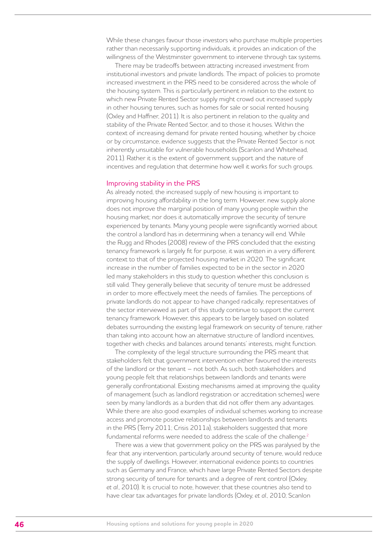While these changes favour those investors who purchase multiple properties rather than necessarily supporting individuals, it provides an indication of the willingness of the Westminster government to intervene through tax systems.

There may be tradeoffs between attracting increased investment from institutional investors and private landlords. The impact of policies to promote increased investment in the PRS need to be considered across the whole of the housing system. This is particularly pertinent in relation to the extent to which new Private Rented Sector supply might crowd out increased supply in other housing tenures, such as homes for sale or social rented housing (Oxley and Haffner, 2011). It is also pertinent in relation to the quality and stability of the Private Rented Sector, and to those it houses. Within the context of increasing demand for private rented housing, whether by choice or by circumstance, evidence suggests that the Private Rented Sector is not inherently unsuitable for vulnerable households (Scanlon and Whitehead, 2011). Rather it is the extent of government support and the nature of incentives and regulation that determine how well it works for such groups.

#### Improving stability in the PRS

As already noted, the increased supply of new housing is important to improving housing affordability in the long term. However, new supply alone does not improve the marginal position of many young people within the housing market; nor does it automatically improve the security of tenure experienced by tenants. Many young people were significantly worried about the control a landlord has in determining when a tenancy will end. While the Rugg and Rhodes (2008) review of the PRS concluded that the existing tenancy framework is largely fit for purpose, it was written in a very different context to that of the projected housing market in 2020. The significant increase in the number of families expected to be in the sector in 2020 led many stakeholders in this study to question whether this conclusion is still valid. They generally believe that security of tenure must be addressed in order to more effectively meet the needs of families. The perceptions of private landlords do not appear to have changed radically; representatives of the sector interviewed as part of this study continue to support the current tenancy framework. However, this appears to be largely based on isolated debates surrounding the existing legal framework on security of tenure, rather than taking into account how an alternative structure of landlord incentives, together with checks and balances around tenants' interests, might function.

The complexity of the legal structure surrounding the PRS meant that stakeholders felt that government intervention either favoured the interests of the landlord or the tenant – not both. As such, both stakeholders and young people felt that relationships between landlords and tenants were generally confrontational. Existing mechanisms aimed at improving the quality of management (such as landlord registration or accreditation schemes) were seen by many landlords as a burden that did not offer them any advantages. While there are also good examples of individual schemes working to increase access and promote positive relationships between landlords and tenants in the PRS (Terry 2011; Crisis 2011a), stakeholders suggested that more fundamental reforms were needed to address the scale of the challenge.<sup>2</sup>

There was a view that government policy on the PRS was paralysed by the fear that any intervention, particularly around security of tenure, would reduce the supply of dwellings. However, international evidence points to countries such as Germany and France, which have large Private Rented Sectors despite strong security of tenure for tenants and a degree of rent control (Oxley, *et al*., 2010). It is crucial to note, however, that these countries also tend to have clear tax advantages for private landlords (Oxley, *et al*., 2010; Scanlon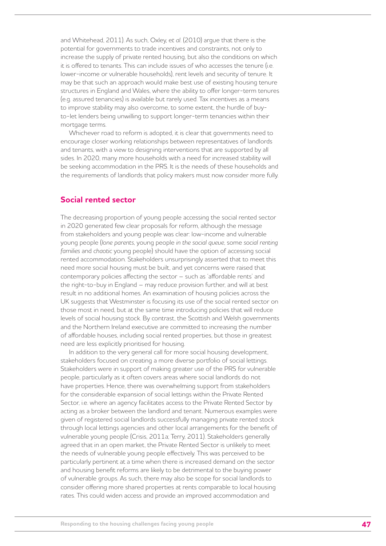and Whitehead, 2011). As such, Oxley, e*t al*. (2010) argue that there is the potential for governments to trade incentives and constraints, not only to increase the supply of private rented housing, but also the conditions on which it is offered to tenants. This can include issues of who accesses the tenure (i.e. lower-income or vulnerable households), rent levels and security of tenure. It may be that such an approach would make best use of existing housing tenure structures in England and Wales, where the ability to offer longer-term tenures (e.g. assured tenancies) is available but rarely used. Tax incentives as a means to improve stability may also overcome, to some extent, the hurdle of buyto-let lenders being unwilling to support longer-term tenancies within their mortgage terms.

Whichever road to reform is adopted, it is clear that governments need to encourage closer working relationships between representatives of landlords and tenants, with a view to designing interventions that are supported by all sides. In 2020, many more households with a need for increased stability will be seeking accommodation in the PRS. It is the needs of these households and the requirements of landlords that policy makers must now consider more fully.

### **Social rented sector**

The decreasing proportion of young people accessing the social rented sector in 2020 generated few clear proposals for reform, although the message from stakeholders and young people was clear: low-income and vulnerable young people (*lone parents*, young people *in the social queue*, some *social renting families* and *chaotic* young people) should have the option of accessing social rented accommodation. Stakeholders unsurprisingly asserted that to meet this need more social housing must be built, and yet concerns were raised that contemporary policies affecting the sector – such as 'affordable rents' and the right-to-buy in England – may reduce provision further, and will at best result in no additional homes. An examination of housing policies across the UK suggests that Westminster is focusing its use of the social rented sector on those most in need, but at the same time introducing policies that will reduce levels of social housing stock. By contrast, the Scottish and Welsh governments and the Northern Ireland executive are committed to increasing the number of affordable houses, including social rented properties, but those in greatest need are less explicitly prioritised for housing.

In addition to the very general call for more social housing development, stakeholders focused on creating a more diverse portfolio of social lettings. Stakeholders were in support of making greater use of the PRS for vulnerable people, particularly as it often covers areas where social landlords do not have properties. Hence, there was overwhelming support from stakeholders for the considerable expansion of social lettings within the Private Rented Sector, i.e. where an agency facilitates access to the Private Rented Sector by acting as a broker between the landlord and tenant. Numerous examples were given of registered social landlords successfully managing private rented stock through local lettings agencies and other local arrangements for the benefit of vulnerable young people (Crisis, 2011a; Terry, 2011). Stakeholders generally agreed that in an open market, the Private Rented Sector is unlikely to meet the needs of vulnerable young people effectively. This was perceived to be particularly pertinent at a time when there is increased demand on the sector and housing benefit reforms are likely to be detrimental to the buying power of vulnerable groups. As such, there may also be scope for social landlords to consider offering more shared properties at rents comparable to local housing rates. This could widen access and provide an improved accommodation and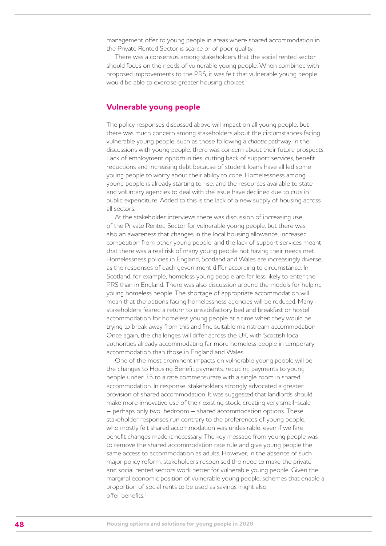management offer to young people in areas where shared accommodation in the Private Rented Sector is scarce or of poor quality.

There was a consensus among stakeholders that the social rented sector should focus on the needs of vulnerable young people. When combined with proposed improvements to the PRS, it was felt that vulnerable young people would be able to exercise greater housing choices.

### **Vulnerable young people**

The policy responses discussed above will impact on all young people, but there was much concern among stakeholders about the circumstances facing vulnerable young people, such as those following a *chaotic* pathway. In the discussions with young people, there was concern about their future prospects. Lack of employment opportunities, cutting back of support services, benefit reductions and increasing debt because of student loans have all led some young people to worry about their ability to cope. Homelessness among young people is already starting to rise, and the resources available to state and voluntary agencies to deal with the issue have declined due to cuts in public expenditure. Added to this is the lack of a new supply of housing across all sectors.

At the stakeholder interviews there was discussion of increasing use of the Private Rented Sector for vulnerable young people, but there was also an awareness that changes in the local housing allowance, increased competition from other young people, and the lack of support services meant that there was a real risk of many young people not having their needs met. Homelessness policies in England, Scotland and Wales are increasingly diverse, as the responses of each government differ according to circumstance. In Scotland, for example, homeless young people are far less likely to enter the PRS than in England. There was also discussion around the models for helping young homeless people. The shortage of appropriate accommodation will mean that the options facing homelessness agencies will be reduced. Many stakeholders feared a return to unsatisfactory bed and breakfast or hostel accommodation for homeless young people at a time when they would be trying to break away from this and find suitable mainstream accommodation. Once again, the challenges will differ across the UK, with Scottish local authorities already accommodating far more homeless people in temporary accommodation than those in England and Wales.

One of the most prominent impacts on vulnerable young people will be the changes to Housing Benefit payments, reducing payments to young people under 35 to a rate commensurate with a single room in shared accommodation. In response, stakeholders strongly advocated a greater provision of shared accommodation. It was suggested that landlords should make more innovative use of their existing stock, creating very small-scale – perhaps only two-bedroom – shared accommodation options. These stakeholder responses run contrary to the preferences of young people, who mostly felt shared accommodation was undesirable, even if welfare benefit changes made it necessary. The key message from young people was to remove the shared accommodation rate rule and give young people the same access to accommodation as adults. However, in the absence of such major policy reform, stakeholders recognised the need to make the private and social rented sectors work better for vulnerable young people. Given the marginal economic position of vulnerable young people, schemes that enable a proportion of social rents to be used as savings might also offer benefits.3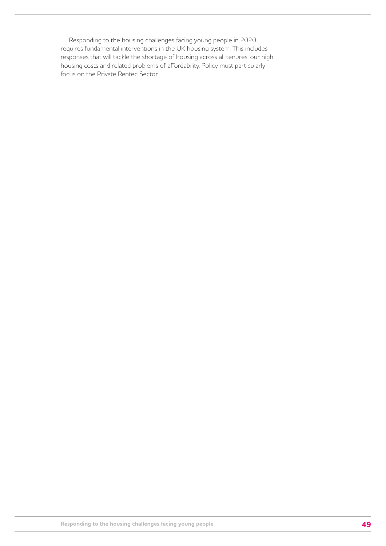Responding to the housing challenges facing young people in 2020 requires fundamental interventions in the UK housing system. This includes responses that will tackle the shortage of housing across all tenures, our high housing costs and related problems of affordability. Policy must particularly focus on the Private Rented Sector.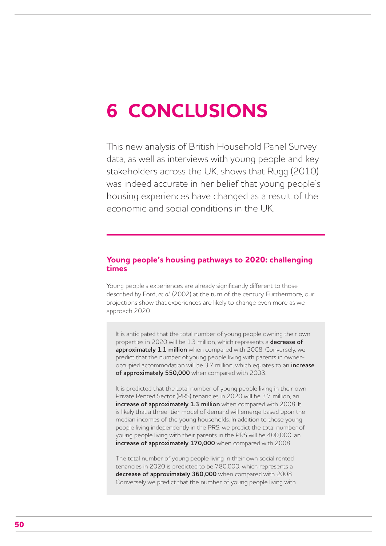# **6 CONCLUSIONS**

This new analysis of British Household Panel Survey data, as well as interviews with young people and key stakeholders across the UK, shows that Rugg (2010) was indeed accurate in her belief that young people's housing experiences have changed as a result of the economic and social conditions in the UK.

## **Young people's housing pathways to 2020: challenging times**

Young people's experiences are already significantly different to those described by Ford, *et al*. (2002) at the turn of the century. Furthermore, our projections show that experiences are likely to change even more as we approach 2020.

It is anticipated that the total number of young people owning their own properties in 2020 will be 1.3 million, which represents a **decrease of approximately 1.1 million** when compared with 2008. Conversely, we predict that the number of young people living with parents in owneroccupied accommodation will be 3.7 million, which equates to an **increase of approximately 550,000** when compared with 2008.

It is predicted that the total number of young people living in their own Private Rented Sector (PRS) tenancies in 2020 will be 3.7 million, an **increase of approximately 1.3 million** when compared with 2008. It is likely that a three-tier model of demand will emerge based upon the median incomes of the young households. In addition to those young people living independently in the PRS, we predict the total number of young people living with their parents in the PRS will be 400,000, an **increase of approximately 170,000** when compared with 2008.

The total number of young people living in their own social rented tenancies in 2020 is predicted to be 780,000, which represents a **decrease of approximately 360,000** when compared with 2008. Conversely we predict that the number of young people living with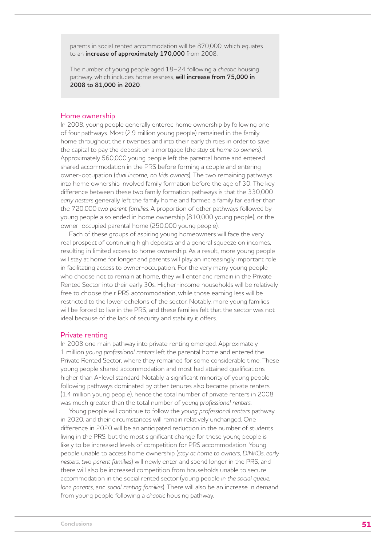parents in social rented accommodation will be 870,000, which equates to an **increase of approximately 170,000** from 2008.

The number of young people aged 18–24 following a *chaotic* housing pathway, which includes homelessness, **will increase from 75,000 in 2008 to 81,000 in 2020**.

#### Home ownership

In 2008, young people generally entered home ownership by following one of four pathways. Most (2.9 million young people) remained in the family home throughout their twenties and into their early thirties in order to save the capital to pay the deposit on a mortgage (the *stay at home to owners*). Approximately 560,000 young people left the parental home and entered shared accommodation in the PRS before forming a couple and entering owner-occupation (*dual income, no kids owners*). The two remaining pathways into home ownership involved family formation before the age of 30. The key difference between these two family formation pathways is that the 330,000 *early nesters* generally left the family home and formed a family far earlier than the 720,000 *two parent families*. A proportion of other pathways followed by young people also ended in home ownership (810,000 young people), or the owner-occupied parental home (250,000 young people).

Each of these groups of aspiring young homeowners will face the very real prospect of continuing high deposits and a general squeeze on incomes, resulting in limited access to home ownership. As a result, more young people will stay at home for longer and parents will play an increasingly important role in facilitating access to owner-occupation. For the very many young people who choose not to remain at home, they will enter and remain in the Private Rented Sector into their early 30s. Higher-income households will be relatively free to choose their PRS accommodation, while those earning less will be restricted to the lower echelons of the sector. Notably, more young families will be forced to live in the PRS, and these families felt that the sector was not ideal because of the lack of security and stability it offers.

#### Private renting

In 2008 one main pathway into private renting emerged. Approximately 1 million *young professional renters* left the parental home and entered the Private Rented Sector, where they remained for some considerable time. These young people shared accommodation and most had attained qualifications higher than A-level standard. Notably, a significant minority of young people following pathways dominated by other tenures also became private renters (1.4 million young people), hence the total number of private renters in 2008 was much greater than the total number of *young professional renters*.

Young people will continue to follow the *young professional renters* pathway in 2020, and their circumstances will remain relatively unchanged. One difference in 2020 will be an anticipated reduction in the number of students living in the PRS, but the most significant change for these young people is likely to be increased levels of competition for PRS accommodation. Young people unable to access home ownership (*stay at home to owners*, *DINKOs*, *early nesters*, *two parent families*) will newly enter and spend longer in the PRS, and there will also be increased competition from households unable to secure accommodation in the social rented sector (young people *in the social queue*, *lone parents*, and *social renting families*). There will also be an increase in demand from young people following a *chaotic* housing pathway.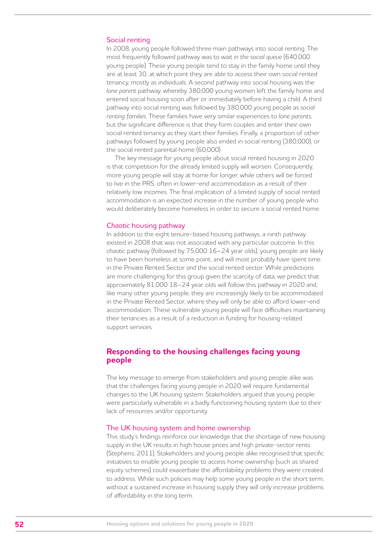#### Social renting

In 2008, young people followed three main pathways into social renting. The most frequently followed pathway was to wait *in the social queue* (640,000 young people). These young people tend to stay in the family home until they are at least 30, at which point they are able to access their own social rented tenancy, mostly as individuals. A second pathway into social housing was the *lone parent* pathway, whereby 380,000 young women left the family home and entered social housing soon after or immediately before having a child. A third pathway into social renting was followed by 380,000 young people as *social renting families*. These families have very similar experiences to *lone parents*, but the significant difference is that they form couples and enter their own social rented tenancy as they start their families. Finally, a proportion of other pathways followed by young people also ended in social renting (380,000), or the social rented parental home (60,000).

The key message for young people about social rented housing in 2020 is that competition for the already limited supply will worsen. Consequently, more young people will stay at home for longer, while others will be forced to live in the PRS, often in lower-end accommodation as a result of their relatively low incomes. The final implication of a limited supply of social rented accommodation is an expected increase in the number of young people who would deliberately become homeless in order to secure a social rented home.

#### *Chaotic* housing pathway

In addition to the eight tenure-based housing pathways, a ninth pathway existed in 2008 that was not associated with any particular outcome. In this *chaotic* pathway (followed by 75,000 16–24 year olds), young people are likely to have been homeless at some point, and will most probably have spent time in the Private Rented Sector *and* the social rented sector. While predictions are more challenging for this group given the scarcity of data, we predict that approximately 81,000 18–24 year olds will follow this pathway in 2020 and, like many other young people, they are increasingly likely to be accommodated in the Private Rented Sector, where they will only be able to afford lower-end accommodation. These vulnerable young people will face difficulties maintaining their tenancies as a result of a reduction in funding for housing-related support services.

### **Responding to the housing challenges facing young people**

The key message to emerge from stakeholders and young people alike was that the challenges facing young people in 2020 will require fundamental changes to the UK housing system. Stakeholders argued that young people were particularly vulnerable in a badly functioning housing system due to their lack of resources and/or opportunity.

#### The UK housing system and home ownership

This study's findings reinforce our knowledge that the shortage of new housing supply in the UK results in high house prices and high private-sector rents (Stephens, 2011). Stakeholders and young people alike recognised that specific initiatives to enable young people to access home ownership (such as shared equity schemes) could exacerbate the affordability problems they were created to address. While such policies may help some young people in the short term, without a sustained increase in housing supply they will only increase problems of affordability in the long term.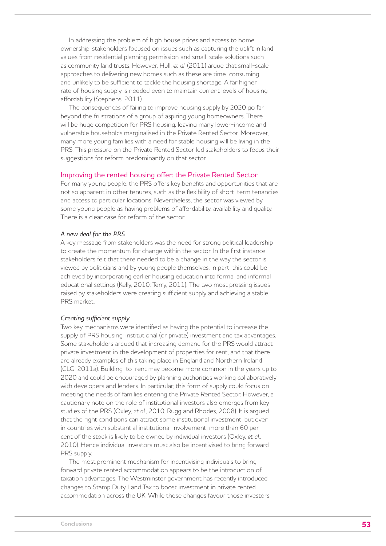In addressing the problem of high house prices and access to home ownership, stakeholders focused on issues such as capturing the uplift in land values from residential planning permission and small-scale solutions such as community land trusts. However, Hull, *et al*. (2011) argue that small-scale approaches to delivering new homes such as these are time-consuming and unlikely to be sufficient to tackle the housing shortage. A far higher rate of housing supply is needed even to maintain current levels of housing affordability (Stephens, 2011).

The consequences of failing to improve housing supply by 2020 go far beyond the frustrations of a group of aspiring young homeowners. There will be huge competition for PRS housing, leaving many lower-income and vulnerable households marginalised in the Private Rented Sector. Moreover, many more young families with a need for stable housing will be living in the PRS. This pressure on the Private Rented Sector led stakeholders to focus their suggestions for reform predominantly on that sector.

#### Improving the rented housing offer: the Private Rented Sector

For many young people, the PRS offers key benefits and opportunities that are not so apparent in other tenures, such as the flexibility of short-term tenancies and access to particular locations. Nevertheless, the sector was viewed by some young people as having problems of affordability, availability and quality. There is a clear case for reform of the sector.

#### *A new deal for the PRS*

A key message from stakeholders was the need for strong political leadership to create the momentum for change within the sector. In the first instance, stakeholders felt that there needed to be a change in the way the sector is viewed by politicians and by young people themselves. In part, this could be achieved by incorporating earlier housing education into formal and informal educational settings (Kelly, 2010; Terry, 2011). The two most pressing issues raised by stakeholders were creating sufficient supply and achieving a stable PRS market.

#### *Creating sufficient supply*

Two key mechanisms were identified as having the potential to increase the supply of PRS housing: institutional (or private) investment and tax advantages. Some stakeholders argued that increasing demand for the PRS would attract private investment in the development of properties for rent, and that there are already examples of this taking place in England and Northern Ireland (CLG, 2011a). Building-to-rent may become more common in the years up to 2020 and could be encouraged by planning authorities working collaboratively with developers and lenders. In particular, this form of supply could focus on meeting the needs of families entering the Private Rented Sector. However, a cautionary note on the role of institutional investors also emerges from key studies of the PRS (Oxley, *et al*., 2010; Rugg and Rhodes, 2008). It is argued that the right conditions can attract some institutional investment, but even in countries with substantial institutional involvement, more than 60 per cent of the stock is likely to be owned by individual investors (Oxley, *et al*., 2010). Hence individual investors must also be incentivised to bring forward PRS supply.

The most prominent mechanism for incentivising individuals to bring forward private rented accommodation appears to be the introduction of taxation advantages. The Westminster government has recently introduced changes to Stamp Duty Land Tax to boost investment in private rented accommodation across the UK. While these changes favour those investors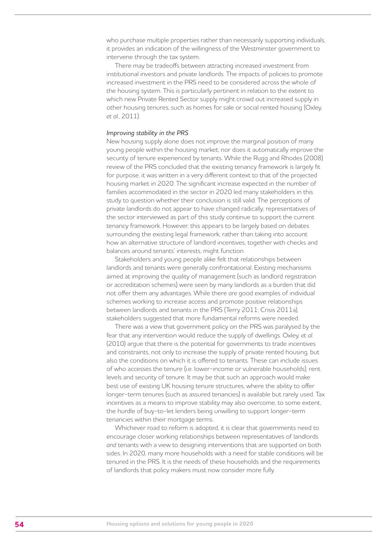who purchase multiple properties rather than necessarily supporting individuals. it provides an indication of the willingness of the Westminster government to intervene through the tax system.

There may be tradeoffs between attracting increased investment from institutional investors and private landlords. The impacts of policies to promote increased investment in the PRS need to be considered across the whole of the housing system. This is particularly pertinent in relation to the extent to which new Private Rented Sector supply might crowd out increased supply in other housing tenures, such as homes for sale or social rented housing (Oxley, *et al*., 2011).

#### *Improving stability in the PRS*

New housing supply alone does not improve the marginal position of many young people within the housing market; nor does it automatically improve the security of tenure experienced by tenants. While the Rugg and Rhodes (2008) review of the PRS concluded that the existing tenancy framework is largely fit for purpose, it was written in a very different context to that of the projected housing market in 2020. The significant increase expected in the number of families accommodated in the sector in 2020 led many stakeholders in this study to question whether their conclusion is still valid. The perceptions of private landlords do not appear to have changed radically; representatives of the sector interviewed as part of this study continue to support the current tenancy framework. However, this appears to be largely based on debates surrounding the existing legal framework, rather than taking into account how an alternative structure of landlord incentives, together with checks and balances around tenants' interests, might function.

Stakeholders and young people alike felt that relationships between landlords and tenants were generally confrontational. Existing mechanisms aimed at improving the quality of management (such as landlord registration or accreditation schemes) were seen by many landlords as a burden that did not offer them any advantages. While there *are* good examples of individual schemes working to increase access and promote positive relationships between landlords and tenants in the PRS (Terry 2011; Crisis 2011a), stakeholders suggested that more fundamental reforms were needed.

There was a view that government policy on the PRS was paralysed by the fear that any intervention would reduce the supply of dwellings. Oxley, *et al*. (2010) argue that there is the potential for governments to trade incentives and constraints, not only to increase the supply of private rented housing, but also the conditions on which it is offered to tenants. These can include issues of who accesses the tenure (i.e. lower-income or vulnerable households), rent levels and security of tenure. It may be that such an approach would make best use of existing UK housing tenure structures, where the ability to offer longer-term tenures (such as assured tenancies) is available but rarely used. Tax incentives as a means to improve stability may also overcome, to some extent, the hurdle of buy-to-let lenders being unwilling to support longer-term tenancies within their mortgage terms.

Whichever road to reform is adopted, it is clear that governments need to encourage closer working relationships between representatives of landlords *and* tenants with a view to designing interventions that are supported on both sides. In 2020, many more households with a need for stable conditions will be tenured in the PRS. It is the needs of these households and the requirements of landlords that policy makers must now consider more fully.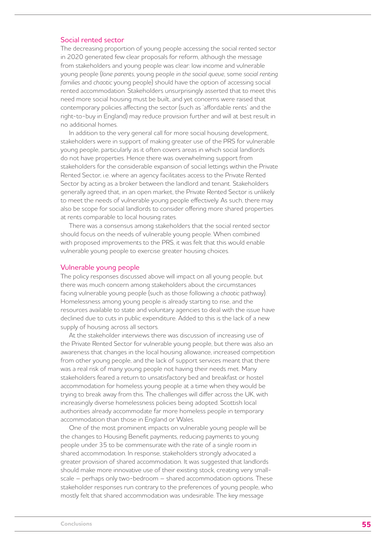#### Social rented sector

The decreasing proportion of young people accessing the social rented sector in 2020 generated few clear proposals for reform, although the message from stakeholders and young people was clear: low income and vulnerable young people (*lone parents*, young people *in the social queue*, some *social renting families* and *chaotic* young people) should have the option of accessing social rented accommodation. Stakeholders unsurprisingly asserted that to meet this need more social housing must be built, and yet concerns were raised that contemporary policies affecting the sector (such as 'affordable rents' and the right-to-buy in England) may reduce provision further and will at best result in no additional homes.

In addition to the very general call for more social housing development, stakeholders were in support of making greater use of the PRS for vulnerable young people, particularly as it often covers areas in which social landlords do not have properties. Hence there was overwhelming support from stakeholders for the considerable expansion of social lettings within the Private Rented Sector, i.e. where an agency facilitates access to the Private Rented Sector by acting as a broker between the landlord and tenant. Stakeholders generally agreed that, in an open market, the Private Rented Sector is unlikely to meet the needs of vulnerable young people effectively. As such, there may also be scope for social landlords to consider offering more shared properties at rents comparable to local housing rates.

There was a consensus among stakeholders that the social rented sector should focus on the needs of vulnerable young people. When combined with proposed improvements to the PRS, it was felt that this would enable vulnerable young people to exercise greater housing choices.

#### Vulnerable young people

The policy responses discussed above will impact on all young people, but there was much concern among stakeholders about the circumstances facing vulnerable young people (such as those following a *chaotic* pathway). Homelessness among young people is already starting to rise, and the resources available to state and voluntary agencies to deal with the issue have declined due to cuts in public expenditure. Added to this is the lack of a new supply of housing across all sectors.

At the stakeholder interviews there was discussion of increasing use of the Private Rented Sector for vulnerable young people, but there was also an awareness that changes in the local housing allowance, increased competition from other young people, and the lack of support services meant that there was a real risk of many young people not having their needs met. Many stakeholders feared a return to unsatisfactory bed and breakfast or hostel accommodation for homeless young people at a time when they would be trying to break away from this. The challenges will differ across the UK, with increasingly diverse homelessness policies being adopted. Scottish local authorities already accommodate far more homeless people in temporary accommodation than those in England or Wales.

One of the most prominent impacts on vulnerable young people will be the changes to Housing Benefit payments, reducing payments to young people under 35 to be commensurate with the rate of a single room in shared accommodation. In response, stakeholders strongly advocated a greater provision of shared accommodation. It was suggested that landlords should make more innovative use of their existing stock, creating very smallscale – perhaps only two-bedroom – shared accommodation options. These stakeholder responses run contrary to the preferences of young people, who mostly felt that shared accommodation was undesirable. The key message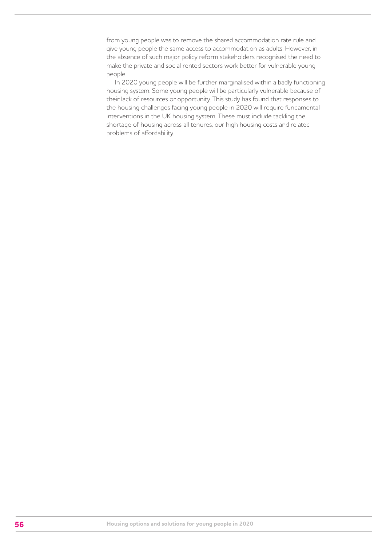from young people was to remove the shared accommodation rate rule and give young people the same access to accommodation as adults. However, in the absence of such major policy reform stakeholders recognised the need to make the private and social rented sectors work better for vulnerable young people.

In 2020 young people will be further marginalised within a badly functioning housing system. Some young people will be particularly vulnerable because of their lack of resources or opportunity. This study has found that responses to the housing challenges facing young people in 2020 will require fundamental interventions in the UK housing system. These must include tackling the shortage of housing across all tenures, our high housing costs and related problems of affordability.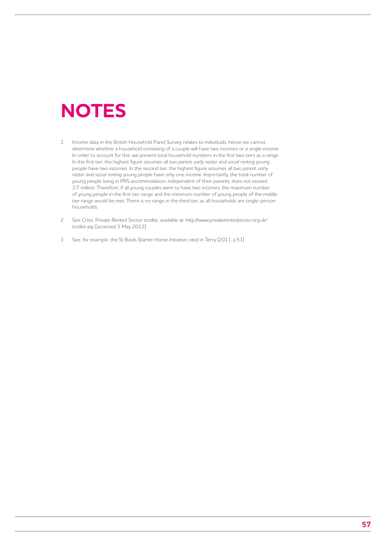## **NOTES**

- 1 Income data in the British Household Panel Survey relates to individuals, hence we cannot determine whether a household consisting of a couple will have two incomes or a single income. In order to account for this, we present total household numbers in the first two tiers as a range. In the first tier, the highest figure assumes all *two parent*, *early nester* and *social renting* young people have two incomes. In the second tier, the highest figure assumes all *two parent*, *early nester* and *social renting* young people have only one income. Importantly, the total number of young people living in PRS accommodation, independent of their parents, does not exceed 3.7 million. Therefore, if all young couples were to have two incomes, the maximum number of young people in the first tier range and the minimum number of young people of the middle tier range would be met. There is no range in the third tier, as all households are single-person households.
- 2 See Crisis' Private Rented Sector toolkit, available at: http://www.privaterentedsector.org.uk/ toolkit.asp [accessed 3 May 2012]
- 3 See, for example, the St Basils Starter Home Initiative cited in Terry (2011, p.51)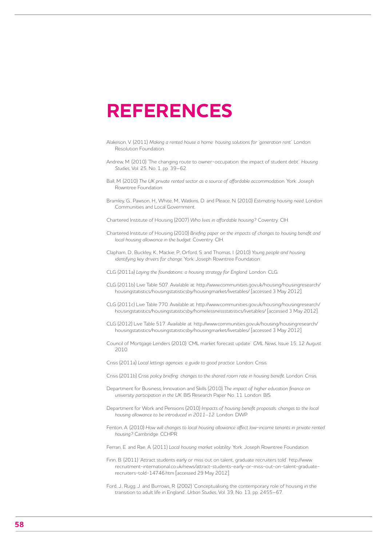## **REFERENCES**

- Alakeson, V. (2011) *Making a rented house a home: housing solutions for 'generation rent'*. London: Resolution Foundation.
- Andrew, M. (2010) 'The changing route to owner-occupation: the impact of student debt'. *Housing Studies*, Vol. 25, No. 1, pp. 39–62.
- Ball, M. (2010) *The UK private rented sector as a source of affordable accommodatio*n. York: Joseph Rowntree Foundation.
- Bramley, G., Pawson, H., White, M., Watkins, D. and Pleace, N. (2010) *Estimating housing need*. London: Communities and Local Government.
- Chartered Institute of Housing (2007) *Who lives in affordable housing?* Coventry: CIH.
- Chartered Institute of Housing (2010) *Briefing paper on the impacts of changes to housing benefit and local housing allowance in the budget*. Coventry: CIH.
- Clapham, D., Buckley, K., Mackie, P., Orford, S. and Thomas, I. (2010) *Young people and housing: identifying key drivers for change*. York: Joseph Rowntree Foundation.
- CLG (2011a) *Laying the foundations: a housing strategy for England*. London: CLG.
- CLG (2011b) Live Table 507. Available at: http://www.communities.gov.uk/housing/housingresearch/ housingstatistics/housingstatisticsby/housingmarket/livetables/ [accessed 3 May 2012].
- CLG (2011c) Live Table 770. Available at: http://www.communities.gov.uk/housing/housingresearch/ housingstatistics/housingstatisticsby/homelessnessstatistics/livetables/ [accessed 3 May 2012].
- CLG (2012) Live Table 517. Available at: http://www.communities.gov.uk/housing/housingresearch/ housingstatistics/housingstatisticsby/housingmarket/livetables/ [accessed 3 May 2012].
- Council of Mortgage Lenders (2010) 'CML market forecast update'. *CML News*, Issue 15, 12 August 2010.
- Crisis (2011a) *Local lettings agencies: a guide to good practice*. London: Crisis.
- Crisis (2011b) *Crisis policy briefing: changes to the shared room rate in housing benefit*. London: Crisis.
- Department for Business, Innovation and Skills (2010) *The impact of higher education finance on university participation in the UK*. BIS Research Paper No. 11. London: BIS.
- Department for Work and Pensions (2010) *Impacts of housing benefit proposals: changes to the local housing allowance to be introduced in 2011–12*. London: DWP.
- Fenton, A. (2010) *How will changes to local housing allowance affect low-income tenants in private rented housing?* Cambridge: CCHPR.
- Ferrari, E. and Rae, A. (2011) *Local housing market volatility*. York: Joseph Rowntree Foundation.
- Finn, B. (2011) 'Attract students early or miss out on talent, graduate recruiters told'. http://www. recruitment-international.co.uk/news/attract-students-early-or-miss-out-on-talent-graduaterecruiters-told-14746.htm [accessed 29 May 2012].
- Ford, J., Rugg, J. and Burrows, R. (2002) 'Conceptualising the contemporary role of housing in the transition to adult life in England'. *Urban Studies*, Vol. 39, No. 13, pp. 2455–67.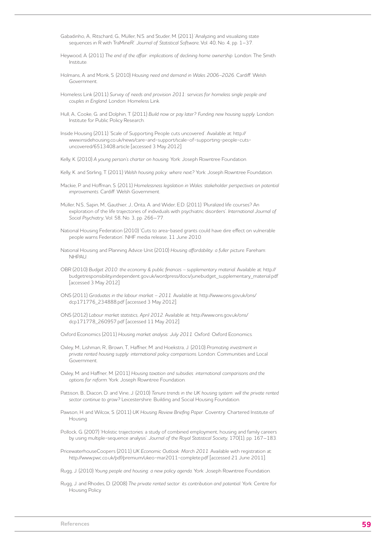- Gabadinho, A., Ritschard, G., Müller, N.S. and Studer, M. (2011) 'Analyzing and visualizing state sequences in R with TraMineR'. *Journal of Statistical Software*, Vol. 40, No. 4, pp. 1–37.
- Heywood, A. (2011) *The end of the affair: implications of declining home ownership*. London: The Smith Institute.
- Holmans, A. and Monk, S. (2010) *Housing need and demand in Wales 2006–2026*. Cardiff: Welsh Government.
- Homeless Link (2011) *Survey of needs and provision 2011: services for homeless single people and couples in England*. London: Homeless Link.
- Hull, A., Cooke, G. and Dolphin, T. (2011) *Build now or pay later? Funding new housing supply*. London: Institute for Public Policy Research.
- Inside Housing (2011) 'Scale of Supporting People cuts uncovered'. Available at: http:// www.insidehousing.co.uk/news/care-and-support/scale-of-supporting-people-cutsuncovered/6513408.article [accessed 3 May 2012].
- Kelly, K. (2010) *A young person's charter on housing*. York: Joseph Rowntree Foundation.
- Kelly, K. and Stirling, T. (2011) *Welsh housing policy: where next?* York: Joseph Rowntree Foundation.
- Mackie, P. and Hoffman, S. (2011) *Homelessness legislation in Wales: stakeholder perspectives on potential improvements*. Cardiff: Welsh Government.
- Müller, N.S., Sapin, M., Gauthier, J., Orita, A. and Wider, E.D. (2011) 'Pluralized life courses? An exploration of the life trajectories of individuals with psychiatric disorders'. *International Journal of Social Psychiatry*, Vol. 58, No. 3, pp. 266–77.
- National Housing Federation (2010) 'Cuts to area-based grants could have dire effect on vulnerable people warns Federation'. NHF media release, 11 June 2010.
- National Housing and Planning Advice Unit (2010) *Housing affordability: a fuller picture*. Fareham: **NHPAU**
- OBR (2010) *Budget 2010: the economy & public finances supplementary material*. Available at: http:// budgetresponsibility.independent.gov.uk/wordpress/docs/junebudget\_supplementary\_material.pdf [accessed 3 May 2012].
- ONS (2011) *Graduates in the labour market 2011*. Available at: http://www.ons.gov.uk/ons/ dcp171776\_234888.pdf [accessed 3 May 2012].
- ONS (2012) *Labour market statistics, April 2012*. Available at: http://www.ons.gov.uk/ons/ dcp171778\_260957.pdf [accessed 11 May 2012].
- Oxford Economics (2011) *Housing market analysis: July 2011*. Oxford: Oxford Economics.
- Oxley, M., Lishman, R., Brown, T., Haffner, M. and Hoekstra, J. (2010) *Promoting investment in private rented housing supply: international policy comparisons*. London: Communities and Local Government.
- Oxley, M. and Haffner, M. (2011) *Housing taxation and subsidies: international comparisons and the options for reform*. York: Joseph Rowntree Foundation.
- Pattison, B., Diacon, D. and Vine, J. (2010) *Tenure trends in the UK housing system: will the private rented sector continue to grow?* Leicestershire: Building and Social Housing Foundation.
- Pawson, H. and Wilcox, S. (2011) *UK Housing Review Briefing Paper*. Coventry: Chartered Institute of Housing.
- Pollock, G. (2007) 'Holistic trajectories: a study of combined employment, housing and family careers by using multiple-sequence analysis'. *Journal of the Royal Statistical Society*, 170(1), pp. 167–183.
- PricewaterhouseCoopers (2011) *UK Economic Outlook: March 2011*. Available with registration at: http://www.pwc.co.uk/pdf/premium/ukeo-mar2011-complete.pdf [accessed 21 June 2011].

Rugg, J. (2010) *Young people and housing: a new policy agenda*. York: Joseph Rowntree Foundation.

Rugg, J. and Rhodes, D. (2008) *The private rented sector: its contribution and potential*. York: Centre for Housing Policy.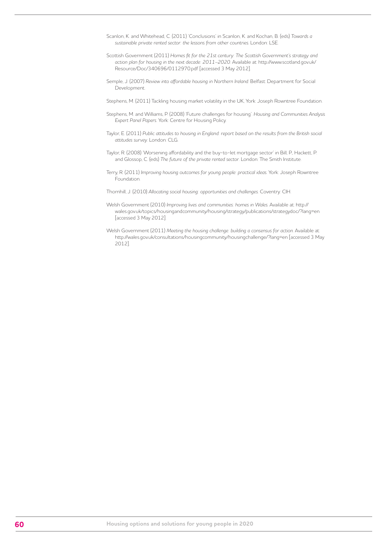- Scanlon, K. and Whitehead, C. (2011) 'Conclusions' in Scanlon, K. and Kochan, B. (eds) *Towards a sustainable private rented sector: the lessons from other countries*. London: LSE.
- Scottish Government (2011) *Homes fit for the 21st century: The Scottish Government's strategy and action plan for housing in the next decade: 2011–2020*. Available at: http://www.scotland.gov.uk/ Resource/Doc/340696/0112970.pdf [accessed 3 May 2012].
- Semple, J. (2007) *Review into affordable housing in Northern Ireland*. Belfast: Department for Social Development.
- Stephens, M. (2011) Tackling housing market volatility in the UK, York: Joseph Rowntree Foundation.
- Stephens, M. and Williams, P. (2008) 'Future challenges for housing'. *Housing and Communities Analysis Expert Panel Papers*. York: Centre for Housing Policy.
- Taylor, E. (2011) *Public attitudes to housing in England: report based on the results from the British social attitudes survey*. London: CLG.
- Taylor, R. (2008) 'Worsening affordability and the buy-to-let mortgage sector' in Bill, P., Hackett, P. and Glossop, C. (eds) *The future of the private rented sector*. London: The Smith Institute.
- Terry, R. (2011) *Improving housing outcomes for young people: practical ideas*. York: Joseph Rowntree Foundation.
- Thornhill, J. (2010) *Allocating social housing: opportunities and challenges*. Coventry: CIH.
- Welsh Government (2010) *Improving lives and communities: homes in Wales*. Available at: http:// wales.gov.uk/topics/housingandcommunity/housing/strategy/publications/strategydoc/?lang=en [accessed 3 May 2012].
- Welsh Government (2011) *Meeting the housing challenge: building a consensus for action*. Available at: http://wales.gov.uk/consultations/housingcommunity/housingchallenge/?lang=en [accessed 3 May 2012].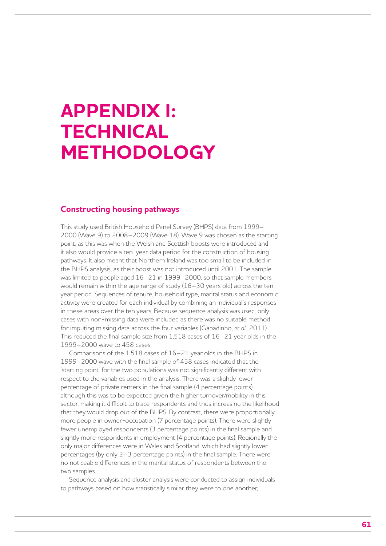## **APPENDIX I: TECHNICAL METHODOLOGY**

### **Constructing housing pathways**

This study used British Household Panel Survey (BHPS) data from 1999– 2000 (Wave 9) to 2008–2009 (Wave 18). Wave 9 was chosen as the starting point, as this was when the Welsh and Scottish boosts were introduced and it also would provide a ten-year data period for the construction of housing pathways. It also meant that Northern Ireland was too small to be included in the BHPS analysis, as their boost was not introduced until 2001. The sample was limited to people aged 16–21 in 1999–2000, so that sample members would remain within the age range of study (16–30 years old) across the tenyear period. Sequences of tenure, household type, marital status and economic activity were created for each individual by combining an individual's responses in these areas over the ten years. Because sequence analysis was used, only cases with non-missing data were included as there was no suitable method for imputing missing data across the four variables (Gabadinho, *et al*., 2011). This reduced the final sample size from 1,518 cases of 16–21 year olds in the 1999–2000 wave to 458 cases.

Comparisons of the 1,518 cases of 16–21 year olds in the BHPS in 1999–2000 wave with the final sample of 458 cases indicated that the 'starting point' for the two populations was not significantly different with respect to the variables used in the analysis. There was a slightly lower percentage of private renters in the final sample (4 percentage points), although this was to be expected given the higher turnover/mobility in this sector, making it difficult to trace respondents and thus increasing the likelihood that they would drop out of the BHPS. By contrast, there were proportionally more people in owner-occupation (7 percentage points). There were slightly fewer unemployed respondents (3 percentage points) in the final sample and slightly more respondents in employment (4 percentage points). Regionally the only major differences were in Wales and Scotland, which had slightly lower percentages (by only 2–3 percentage points) in the final sample. There were no noticeable differences in the marital status of respondents between the two samples.

Sequence analysis and cluster analysis were conducted to assign individuals to pathways based on how statistically similar they were to one another,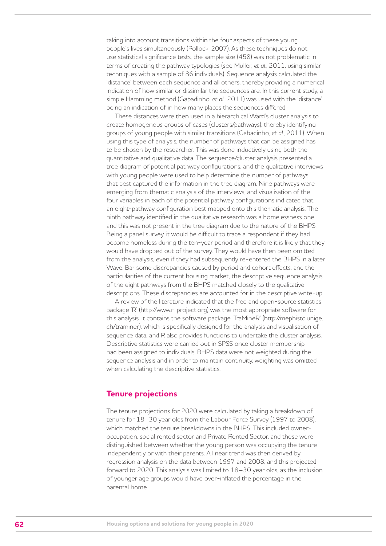taking into account transitions within the four aspects of these young people's lives simultaneously (Pollock, 2007). As these techniques do not use statistical significance tests, the sample size (458) was not problematic in terms of creating the pathway typologies (see Muller, *et al*., 2011, using similar techniques with a sample of 86 individuals). Sequence analysis calculated the 'distance' between each sequence and all others, thereby providing a numerical indication of how similar or dissimilar the sequences are. In this current study, a simple Hamming method (Gabadinho, *et al*., 2011) was used with the 'distance' being an indication of in how many places the sequences differed.

These distances were then used in a hierarchical Ward's cluster analysis to create homogenous groups of cases (clusters/pathways), thereby identifying groups of young people with similar transitions (Gabadinho, *et al*., 2011). When using this type of analysis, the number of pathways that can be assigned has to be chosen by the researcher. This was done inductively using both the quantitative and qualitative data. The sequence/cluster analysis presented a tree diagram of potential pathway configurations, and the qualitative interviews with young people were used to help determine the number of pathways that best captured the information in the tree diagram. Nine pathways were emerging from thematic analysis of the interviews, and visualisation of the four variables in each of the potential pathway configurations indicated that an eight-pathway configuration best mapped onto this thematic analysis. The ninth pathway identified in the qualitative research was a homelessness one, and this was not present in the tree diagram due to the nature of the BHPS. Being a panel survey, it would be difficult to trace a respondent if they had become homeless during the ten-year period and therefore it is likely that they would have dropped out of the survey. They would have then been omitted from the analysis, even if they had subsequently re-entered the BHPS in a later Wave. Bar some discrepancies caused by period and cohort effects, and the particularities of the current housing market, the descriptive sequence analysis of the eight pathways from the BHPS matched closely to the qualitative descriptions. These discrepancies are accounted for in the descriptive write-up.

A review of the literature indicated that the free and open-source statistics package 'R' (http://www.r-project.org) was the most appropriate software for this analysis. It contains the software package 'TraMineR' (http://mephisto.unige. ch/traminer), which is specifically designed for the analysis and visualisation of sequence data, and R also provides functions to undertake the cluster analysis. Descriptive statistics were carried out in SPSS once cluster membership had been assigned to individuals. BHPS data were not weighted during the sequence analysis and in order to maintain continuity, weighting was omitted when calculating the descriptive statistics.

### **Tenure projections**

The tenure projections for 2020 were calculated by taking a breakdown of tenure for 18–30 year olds from the Labour Force Survey (1997 to 2008), which matched the tenure breakdowns in the BHPS. This included owneroccupation, social rented sector and Private Rented Sector, and these were distinguished between whether the young person was occupying the tenure independently or with their parents. A linear trend was then derived by regression analysis on the data between 1997 and 2008, and this projected forward to 2020. This analysis was limited to 18–30 year olds, as the inclusion of younger age groups would have over-inflated the percentage in the parental home.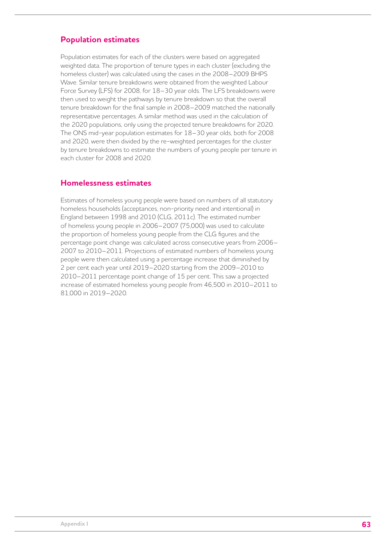## **Population estimates**

Population estimates for each of the clusters were based on aggregated weighted data. The proportion of tenure types in each cluster (excluding the homeless cluster) was calculated using the cases in the 2008–2009 BHPS Wave. Similar tenure breakdowns were obtained from the weighted Labour Force Survey (LFS) for 2008, for 18–30 year olds. The LFS breakdowns were then used to weight the pathways by tenure breakdown so that the overall tenure breakdown for the final sample in 2008–2009 matched the nationally representative percentages. A similar method was used in the calculation of the 2020 populations, only using the projected tenure breakdowns for 2020. The ONS mid-year population estimates for 18–30 year olds, both for 2008 and 2020, were then divided by the re-weighted percentages for the cluster by tenure breakdowns to estimate the numbers of young people per tenure in each cluster for 2008 and 2020.

## **Homelessness estimates**

Estimates of homeless young people were based on numbers of all statutory homeless households (acceptances, non-priority need and intentional) in England between 1998 and 2010 (CLG, 2011c). The estimated number of homeless young people in 2006–2007 (75,000) was used to calculate the proportion of homeless young people from the CLG figures and the percentage point change was calculated across consecutive years from 2006– 2007 to 2010–2011. Projections of estimated numbers of homeless young people were then calculated using a percentage increase that diminished by 2 per cent each year until 2019–2020 starting from the 2009–2010 to 2010–2011 percentage point change of 15 per cent. This saw a projected increase of estimated homeless young people from 46,500 in 2010–2011 to 81,000 in 2019–2020.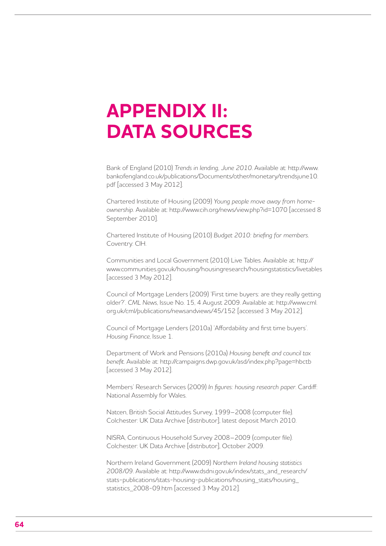# **APPENDIX II: DATA SOURCES**

Bank of England (2010) *Trends in lending, June 2010*. Available at: http://www. bankofengland.co.uk/publications/Documents/other/monetary/trendsjune10. pdf [accessed 3 May 2012].

Chartered Institute of Housing (2009) *Young people move away from homeownership*. Available at: http://www.cih.org/news/view.php?id=1070 [accessed 8 September 2010].

Chartered Institute of Housing (2010) *Budget 2010: briefing for members*. Coventry: CIH.

Communities and Local Government (2010) Live Tables. Available at: http:// www.communities.gov.uk/housing/housingresearch/housingstatistics/livetables [accessed 3 May 2012].

Council of Mortgage Lenders (2009) 'First time buyers: are they really getting older?'. *CML News*, Issue No. 15, 4 August 2009. Available at: http://www.cml. org.uk/cml/publications/newsandviews/45/152 [accessed 3 May 2012].

Council of Mortgage Lenders (2010a) 'Affordability and first time buyers'. *Housing Finance*, Issue 1.

Department of Work and Pensions (2010a) *Housing benefit and council tax benefit*. Available at: http://campaigns.dwp.gov.uk/asd/index.php?page=hbctb [accessed 3 May 2012].

Members' Research Services (2009) *In figures: housing research paper*. Cardiff: National Assembly for Wales.

Natcen, British Social Attitudes Survey, 1999–2008 (computer file). Colchester: UK Data Archive [distributor], latest deposit March 2010.

NISRA, Continuous Household Survey 2008–2009 (computer file). Colchester: UK Data Archive [distributor], October 2009.

Northern Ireland Government (2009) *Northern Ireland housing statistics 2008/09*. Available at: http://www.dsdni.gov.uk/index/stats\_and\_research/ stats-publications/stats-housing-publications/housing\_stats/housing\_ statistics 2008-09.htm [accessed 3 May 2012].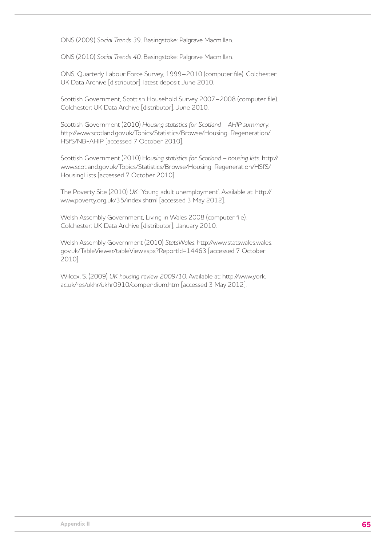ONS (2009) *Social Trends 39*. Basingstoke: Palgrave Macmillan.

ONS (2010) *Social Trends 40*. Basingstoke: Palgrave Macmillan.

ONS, Quarterly Labour Force Survey, 1999–2010 (computer file). Colchester: UK Data Archive [distributor], latest deposit June 2010.

Scottish Government, Scottish Household Survey 2007–2008 (computer file). Colchester: UK Data Archive [distributor], June 2010.

Scottish Government (2010) *Housing statistics for Scotland – AHIP summary*. http://www.scotland.gov.uk/Topics/Statistics/Browse/Housing-Regeneration/ HSfS/NB-AHIP [accessed 7 October 2010].

Scottish Government (2010) H*ousing statistics for Scotland – housing lists*. http:// www.scotland.gov.uk/Topics/Statistics/Browse/Housing-Regeneration/HSfS/ HousingLists [accessed 7 October 2010].

The Poverty Site (2010) *UK*: 'Young adult unemployment'. Available at: http:// www.poverty.org.uk/35/index.shtml [accessed 3 May 2012].

Welsh Assembly Government, Living in Wales 2008 (computer file). Colchester: UK Data Archive [distributor], January 2010.

Welsh Assembly Government (2010) *StatsWales*. http://www.statswales.wales. gov.uk/TableViewer/tableView.aspx?ReportId=14463 [accessed 7 October 2010].

Wilcox, S. (2009) *UK housing review 2009/10*. Available at: http://www.york. ac.uk/res/ukhr/ukhr0910/compendium.htm [accessed 3 May 2012].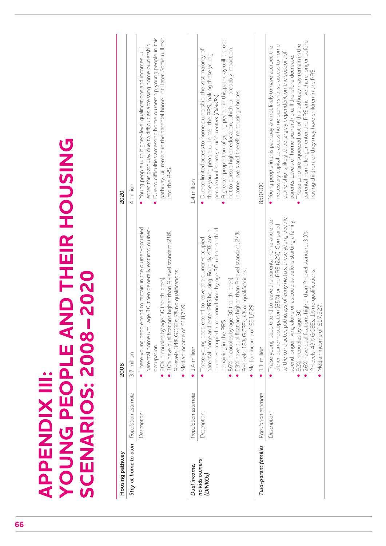**YOUNG PEOPLE AND THEIR HOUSING APPENDIX III:<br>YOUNG PEOPLE AND THEIR HOUSING**<br>SCENARIOS: 2008-2020 **SCENARIOS: 2008–2020 APPENDIX III:** 

| Housing pathway                         |                     | 2008                                                                                                                                                                                                                                                                                                                                                                                                                                | 2020                                                                                                                                                                                                                                                                                                                                                                                                                                                           |
|-----------------------------------------|---------------------|-------------------------------------------------------------------------------------------------------------------------------------------------------------------------------------------------------------------------------------------------------------------------------------------------------------------------------------------------------------------------------------------------------------------------------------|----------------------------------------------------------------------------------------------------------------------------------------------------------------------------------------------------------------------------------------------------------------------------------------------------------------------------------------------------------------------------------------------------------------------------------------------------------------|
| Stay at home to own Population estimate |                     | 3.7 million                                                                                                                                                                                                                                                                                                                                                                                                                         | 4 million                                                                                                                                                                                                                                                                                                                                                                                                                                                      |
|                                         | Description         | • These young people tend to remain in the owner-occupied<br>age 30, then generally exit into owner-<br>30% have qualifications higher than A-level standard; 28%<br>A-levels; 34% GCSEs; 7% no qualifications.<br>20% in couples by age 30 (no children).<br>Median income of £18,739.<br>parental home until<br>occupation.                                                                                                       | pathway will remain in the parental home until later. Some will exit<br>Due to difficulties accessing home ownership, young people in this<br>enter this pathway due to difficulties accessing home ownership.<br>Young people with higher-level qualifications and incomes will<br>into the PRS.                                                                                                                                                              |
| Dual income,                            | Population estimate | $\bullet$ 1.4 million                                                                                                                                                                                                                                                                                                                                                                                                               | 1.4 million                                                                                                                                                                                                                                                                                                                                                                                                                                                    |
| no kids owners<br>(DINKOs)              | Description         | owner-occupied accommodation by age 30, with one third<br>parental home and enter PRS housing. Roughly 40% are in<br>53% have qualifications higher than A-level standard; 24%<br>tend to leave the owner-occupied<br>A-levels; 18% GCSEs; 4% no qualifications.<br>86% in couples by age 30 (no children)<br>Median income of £21,629<br>remaining in the PRS<br>These young people                                                | A greater proportion of young people in this pathway will choose<br>Due to limited access to home ownership, the vast majority of<br>not to pursue higher education, which will probably impact on<br>these young people will enter the PRS, making these young<br>income levels and therefore housing choices.<br>people dual income, no kids renters (DINKRs)                                                                                                |
| Two-parent families                     | Population estimate | $\bullet$ 1.1 million                                                                                                                                                                                                                                                                                                                                                                                                               | 850.000                                                                                                                                                                                                                                                                                                                                                                                                                                                        |
|                                         | Description         | These young people tend to leave the parental home and enter<br>to the contracted pathways of early nesters, these young people<br>spend longer living alone or as couples before starting a family.<br>either owner-occupation (65%) or the PRS (22%). Compared<br>26% have qualifications higher than A-level standard; 30%<br>A-levels: 43% GCSEs; 1% no qualifications.<br>Median income of £17,527<br>92% in couples by age 30 | parental home longer, enter the PRS and live there longer before<br>Those who are squeezed out of this pathway may remain in the<br>necessary capital to access home ownership, so access to home<br>• Young people in this pathway are not likely to have accrued the<br>ownership is likely to be largely dependent on the support of<br>parents. Levels of home ownership will therefore decrease<br>having children, or they may have children in the PRS. |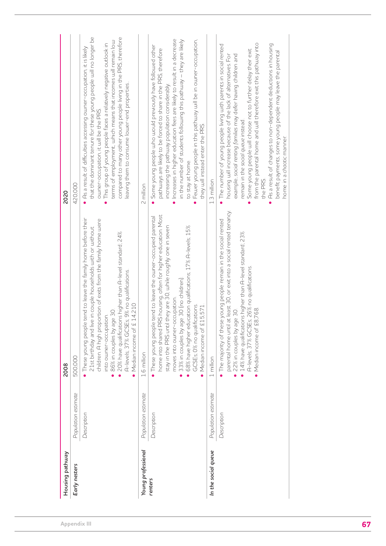| Housing pathway     |                     |                                                                                                                                                                                                                                                                                                                                                                                                                       |                                                                                                                                                                                                                                                                                                                                                                                                                                                                                                                                                         |
|---------------------|---------------------|-----------------------------------------------------------------------------------------------------------------------------------------------------------------------------------------------------------------------------------------------------------------------------------------------------------------------------------------------------------------------------------------------------------------------|---------------------------------------------------------------------------------------------------------------------------------------------------------------------------------------------------------------------------------------------------------------------------------------------------------------------------------------------------------------------------------------------------------------------------------------------------------------------------------------------------------------------------------------------------------|
| Early nesters       | Population estimate | 500,000                                                                                                                                                                                                                                                                                                                                                                                                               | 420,000                                                                                                                                                                                                                                                                                                                                                                                                                                                                                                                                                 |
|                     | Description         | These young people tend to leave the family home before their<br>children. A high proportion of exits from the family home were<br>21st birthday and live in couple households with or without<br>20% have qualifications higher than A-level standard; 24%<br>is; 9% no qualifications.<br>14,210<br>86% in couples by age 30.<br>into owner-occupation.<br>A-levels; 37% GCSE<br>$\bullet$ Median income of £       | that the dominant tenure for these young people will no longer be<br>compared to many other young people living in the PRS, therefore<br>terms of employment, which means that incomes will remain low<br>This group of young people faces a relatively negative outlook in<br>As a result of difficulties accessing owner-occupation, it is likely<br>leaving them to consume lower-end properties.<br>owner-occupation, it will be the PRS.                                                                                                           |
| Young professional  | Population estimate | 1.6 million                                                                                                                                                                                                                                                                                                                                                                                                           | 2 million                                                                                                                                                                                                                                                                                                                                                                                                                                                                                                                                               |
| renters             | Description         | home into shared PRS housing, often for higher education. Most<br>These young people tend to leave the owner-occupied parental<br>they are 30, while roughly one in seven<br>68% have higher education qualifications; 17% A-levels; 15%<br>33% in couples by age 30 (no children).<br>moves into owner-occupation.<br>GCSEs; 0% no qualifications.<br>Median income of £15,571<br>stay in the PRS until<br>$\bullet$ | Increases in higher education fees are likely to result in a decrease<br>in the number of students following this pathway – they are likely<br>Fewer young people in this pathway will be in owner-occupation,<br>Some young people who would previously have followed other<br>pathways are likely to be forced to share in the PRS, therefore<br>increasing the pathway population considerably.<br>they will instead enter the PRS.<br>to stay at home.<br>$\bullet$                                                                                 |
| In the social queue | Population estimate | 1 million                                                                                                                                                                                                                                                                                                                                                                                                             | 1.3 million                                                                                                                                                                                                                                                                                                                                                                                                                                                                                                                                             |
|                     | Description         | at least 30, or exit into a social rented tenancy.<br>e young people remain in the social rented<br>14% have qualifications higher than A-level standard; 23%<br>A-levels; 37% GCSEs; 26% no qualifications.<br>• Median income of £8,768<br>22% in couples by age 30.<br>The majority of thes<br>parental home until                                                                                                 | from the parental home and will therefore exit this pathway into<br>As a result of changes to non-dependent deductions in housing<br>The number of young people living with parents in social rented<br>Some young people will choose not to further delay their exit<br>benefit payments, some young people may leave the parental<br>example, social renting families may defer having children and<br>housing will increase because of the lack of alternatives. For<br>remain in the social queue instead.<br>home in a chaotic manner.<br>the PRS. |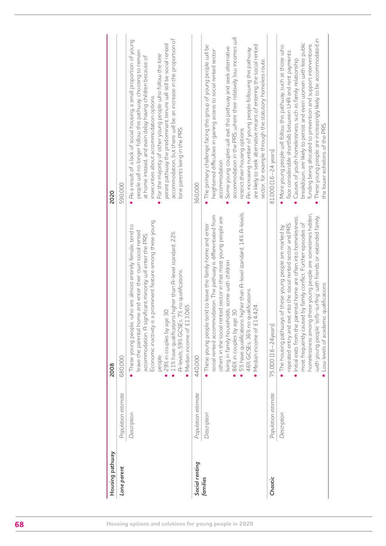| Housing pathway |                     | 2008                                                                                                                                                                                                                                                                                                                                                                                                                                                          | 2020                                                                                                                                                                                                                                                                                                                                                                                                                                                                                                                                              |
|-----------------|---------------------|---------------------------------------------------------------------------------------------------------------------------------------------------------------------------------------------------------------------------------------------------------------------------------------------------------------------------------------------------------------------------------------------------------------------------------------------------------------|---------------------------------------------------------------------------------------------------------------------------------------------------------------------------------------------------------------------------------------------------------------------------------------------------------------------------------------------------------------------------------------------------------------------------------------------------------------------------------------------------------------------------------------------------|
| Lone parent     | Population estimate | 680,000                                                                                                                                                                                                                                                                                                                                                                                                                                                       | 590,000                                                                                                                                                                                                                                                                                                                                                                                                                                                                                                                                           |
|                 | Description         | Economic inactivity is a prominent feature among these young<br>who are almost entirely female, tend to<br>leave the parental home and enter their own social rented<br>11% have qualifications higher than A-level standard; 22%<br>accommodation. A significant minority will enter the PRS.<br>A-levels; 59% GCSEs; 7% no qualifications.<br>13,065.<br>29% in couples by age 30.<br>• These young people,<br>• Median income of £1<br>people.             | accommodation, but there will be an increase in the proportion of<br>As a result of a lack of social housing, a small proportion of young<br>parent pathway the predominant tenure will still be social rented<br>people will no longer follow this pathway, choosing to remain<br>For the majority of other young people who follow the lone<br>at home instead, and even delay having children because of<br>insecurities about accommodation options.<br>lone parents living in the PRS.<br>$\bullet$                                          |
| Social renting  | Population estimate | 440,000                                                                                                                                                                                                                                                                                                                                                                                                                                                       | 360,000                                                                                                                                                                                                                                                                                                                                                                                                                                                                                                                                           |
| families        | Description         | 5% have qualifications higher than A-level standard; 14% A-levels;<br>social rented accommodation. The pathway is differentiated from<br>others in the social rented sector in that most young people are<br>. These young people tend to leave the family home and enter<br>living in family households, some with children.<br>46% GCSEs; 36% no qualifications.<br>Median income of £14,424<br>86% in couples by age 30.<br>$\bullet$                      | accommodation in the PRS, where their relatively low incomes will<br>are likely to seek alternative means of entering the social rented<br>• The primary challenge facing this group of young people will be<br>Some young couples will exit this pathway and seek alternative<br>An increasing number of young people following this pathway<br>heightened difficulties in gaining access to social rented sector<br>sector, for example through the statutory homeless route.<br>restrict their housing options.<br>accommodation.<br>$\bullet$ |
| Chaotic         | Population estimate | 75,000 (16-24years)                                                                                                                                                                                                                                                                                                                                                                                                                                           | 81,000 (16-24 years)                                                                                                                                                                                                                                                                                                                                                                                                                                                                                                                              |
|                 | Description         | homelessness among these young people are sometimes hidden,<br>· Initial exits from the parental home are often into homelessness,<br>with young people 'sofa-surfing' with friends or extended family<br>most frequently caused by family conflict. Further episodes of<br>repeated entry and exit into the social rented sector and PRS.<br>The housing pathways of these young people are marked by<br>Low levels of academic qualifications.<br>$\bullet$ | These young people are increasingly likely to be accommodated in<br>breakdown, are likely to persist and even worsen with less public<br>funding being allocated to prevention and support interventions.<br>More young people will follow this pathway, such as those who<br>face considerable shortfalls between LHA and rent payments.<br>Causes of youth homelessness, such as family relationship<br>the lower echelons of the PRS.<br>$\bullet$<br>$\bullet$                                                                                |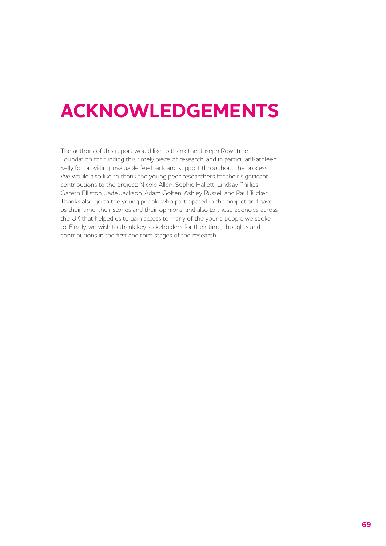# **ACKNOWLEDGEMENTS**

The authors of this report would like to thank the Joseph Rowntree Foundation for funding this timely piece of research, and in particular Kathleen Kelly for providing invaluable feedback and support throughout the process. We would also like to thank the young peer researchers for their significant contributions to the project: Nicole Allen, Sophie Hallett, Lindsay Phillips, Gareth Elliston, Jade Jackson, Adam Golten, Ashley Russell and Paul Tucker. Thanks also go to the young people who participated in the project and gave us their time, their stories and their opinions, and also to those agencies across the UK that helped us to gain access to many of the young people we spoke to. Finally, we wish to thank key stakeholders for their time, thoughts and contributions in the first and third stages of the research.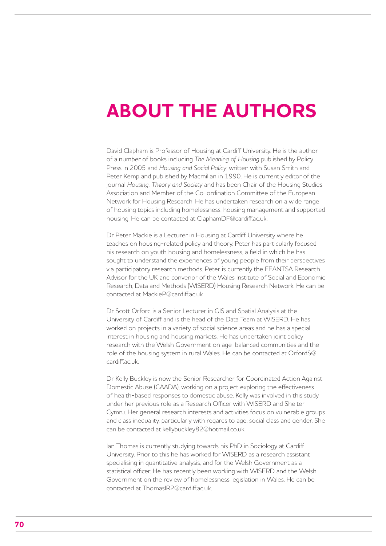# **ABOUT THE AUTHORS**

David Clapham is Professor of Housing at Cardiff University. He is the author of a number of books including *The Meaning of Housing* published by Policy Press in 2005 and *Housing and Social Policy*, written with Susan Smith and Peter Kemp and published by Macmillan in 1990. He is currently editor of the journal *Housing, Theory and Society* and has been Chair of the Housing Studies Association and Member of the Co-ordination Committee of the European Network for Housing Research. He has undertaken research on a wide range of housing topics including homelessness, housing management and supported housing. He can be contacted at ClaphamDF@cardiff.ac.uk.

Dr Peter Mackie is a Lecturer in Housing at Cardiff University where he teaches on housing-related policy and theory. Peter has particularly focused his research on youth housing and homelessness, a field in which he has sought to understand the experiences of young people from their perspectives via participatory research methods. Peter is currently the FEANTSA Research Advisor for the UK and convenor of the Wales Institute of Social and Economic Research, Data and Methods (WISERD) Housing Research Network. He can be contacted at MackieP@cardiff.ac.uk

Dr Scott Orford is a Senior Lecturer in GIS and Spatial Analysis at the University of Cardiff and is the head of the Data Team at WISERD. He has worked on projects in a variety of social science areas and he has a special interest in housing and housing markets. He has undertaken joint policy research with the Welsh Government on age-balanced communities and the role of the housing system in rural Wales. He can be contacted at OrfordS@ cardiff.ac.uk.

Dr Kelly Buckley is now the Senior Researcher for Coordinated Action Against Domestic Abuse (CAADA), working on a project exploring the effectiveness of health-based responses to domestic abuse. Kelly was involved in this study under her previous role as a Research Officer with WISERD and Shelter Cymru. Her general research interests and activities focus on vulnerable groups and class inequality, particularly with regards to age, social class and gender. She can be contacted at kellybuckley82@hotmail.co.uk.

Ian Thomas is currently studying towards his PhD in Sociology at Cardiff University. Prior to this he has worked for WISERD as a research assistant specialising in quantitative analysis, and for the Welsh Government as a statistical officer. He has recently been working with WISERD and the Welsh Government on the review of homelessness legislation in Wales. He can be contacted at ThomasIR2@cardiff.ac.uk.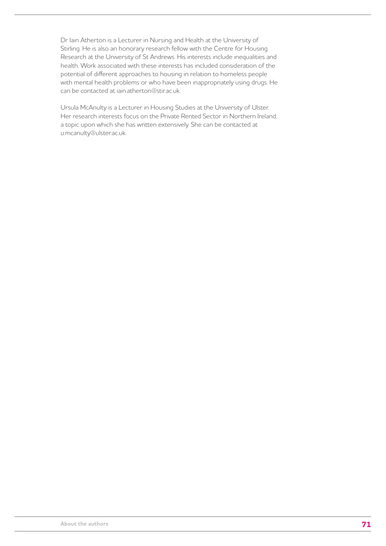Dr Iain Atherton is a Lecturer in Nursing and Health at the University of Stirling. He is also an honorary research fellow with the Centre for Housing Research at the University of St Andrews. His interests include inequalities and health. Work associated with these interests has included consideration of the potential of different approaches to housing in relation to homeless people with mental health problems or who have been inappropriately using drugs. He can be contacted at iain.atherton@stir.ac.uk.

Ursula McAnulty is a Lecturer in Housing Studies at the University of Ulster. Her research interests focus on the Private Rented Sector in Northern Ireland, a topic upon which she has written extensively. She can be contacted at u.mcanulty@ulster.ac.uk.